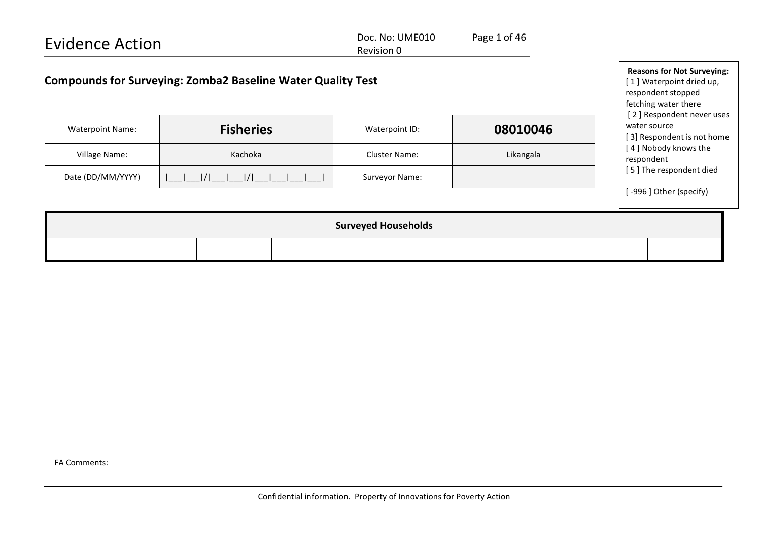| <b>Evidence Action</b>                                             |                                                                                                                                          | Page 1 of 46         |           |                                            |  |  |  |  |
|--------------------------------------------------------------------|------------------------------------------------------------------------------------------------------------------------------------------|----------------------|-----------|--------------------------------------------|--|--|--|--|
| <b>Compounds for Surveying: Zomba2 Baseline Water Quality Test</b> | <b>Reasons for Not Surveying:</b><br>[1] Waterpoint dried up,<br>respondent stopped<br>fetching water there<br>[2] Respondent never uses |                      |           |                                            |  |  |  |  |
| <b>Waterpoint Name:</b>                                            | <b>Fisheries</b>                                                                                                                         | Waterpoint ID:       | 08010046  | water source<br>[3] Respondent is not home |  |  |  |  |
| Village Name:                                                      | Kachoka                                                                                                                                  | <b>Cluster Name:</b> | Likangala | [4] Nobody knows the<br>respondent         |  |  |  |  |
| Date (DD/MM/YYYY)                                                  | 1/1                                                                                                                                      | Surveyor Name:       |           | [5] The respondent died                    |  |  |  |  |
|                                                                    |                                                                                                                                          |                      |           | [-996] Other (specify)                     |  |  |  |  |
| <b>Surveyed Households</b>                                         |                                                                                                                                          |                      |           |                                            |  |  |  |  |
|                                                                    |                                                                                                                                          |                      |           |                                            |  |  |  |  |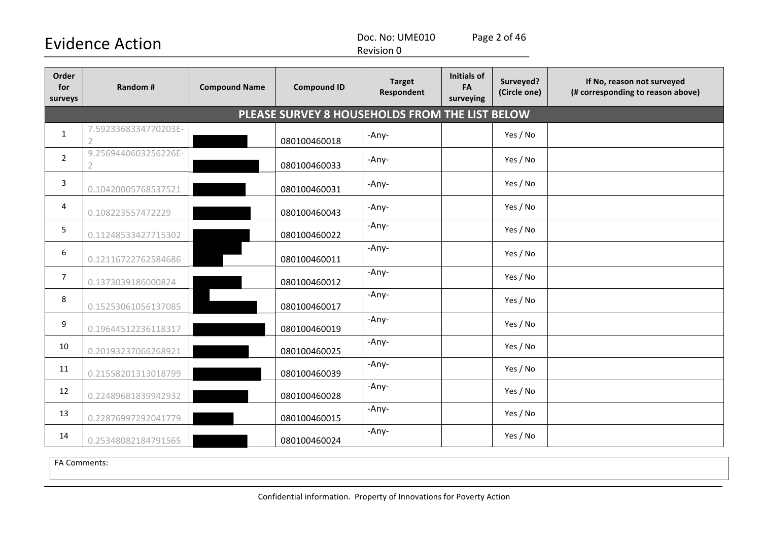Doc. No: UME010 Page 2 of 46

Revision 0

| Order<br>for<br>surveys | Random #                                       | <b>Compound Name</b> | <b>Compound ID</b> | <b>Target</b><br>Respondent | <b>Initials of</b><br>FA<br>surveying | Surveyed?<br>(Circle one) | If No, reason not surveyed<br>(# corresponding to reason above) |  |  |  |  |
|-------------------------|------------------------------------------------|----------------------|--------------------|-----------------------------|---------------------------------------|---------------------------|-----------------------------------------------------------------|--|--|--|--|
|                         | PLEASE SURVEY 8 HOUSEHOLDS FROM THE LIST BELOW |                      |                    |                             |                                       |                           |                                                                 |  |  |  |  |
| $\mathbf{1}$            | 7.5923368334770203E-<br>$\overline{2}$         |                      | 080100460018       | -Any-                       |                                       | Yes / No                  |                                                                 |  |  |  |  |
| $\overline{2}$          | 9.2569440603256226E-<br>2                      |                      | 080100460033       | -Any-                       |                                       | Yes / No                  |                                                                 |  |  |  |  |
| 3                       | 0.10420005768537521                            |                      | 080100460031       | -Any-                       |                                       | Yes / No                  |                                                                 |  |  |  |  |
| 4                       | 0.108223557472229                              |                      | 080100460043       | -Any-                       |                                       | Yes / No                  |                                                                 |  |  |  |  |
| 5                       | 0.11248533427715302                            |                      | 080100460022       | -Any-                       |                                       | Yes / No                  |                                                                 |  |  |  |  |
| 6                       | 0.12116722762584686                            |                      | 080100460011       | -Any-                       |                                       | Yes / No                  |                                                                 |  |  |  |  |
| $\overline{7}$          | 0.1373039186000824                             |                      | 080100460012       | -Any-                       |                                       | Yes / No                  |                                                                 |  |  |  |  |
| 8                       | 0.15253061056137085                            |                      | 080100460017       | -Any-                       |                                       | Yes / No                  |                                                                 |  |  |  |  |
| 9                       | 0.19644512236118317                            |                      | 080100460019       | -Any-                       |                                       | Yes / No                  |                                                                 |  |  |  |  |
| 10                      | 0.20193237066268921                            |                      | 080100460025       | -Any-                       |                                       | Yes / No                  |                                                                 |  |  |  |  |
| 11                      | 0.21558201313018799                            |                      | 080100460039       | -Any-                       |                                       | Yes / No                  |                                                                 |  |  |  |  |
| 12                      | 0.22489681839942932                            |                      | 080100460028       | -Any-                       |                                       | Yes / No                  |                                                                 |  |  |  |  |
| 13                      | 0.22876997292041779                            |                      | 080100460015       | -Any-                       |                                       | Yes / No                  |                                                                 |  |  |  |  |
| 14                      | 0.25348082184791565                            |                      | 080100460024       | -Any-                       |                                       | Yes / No                  |                                                                 |  |  |  |  |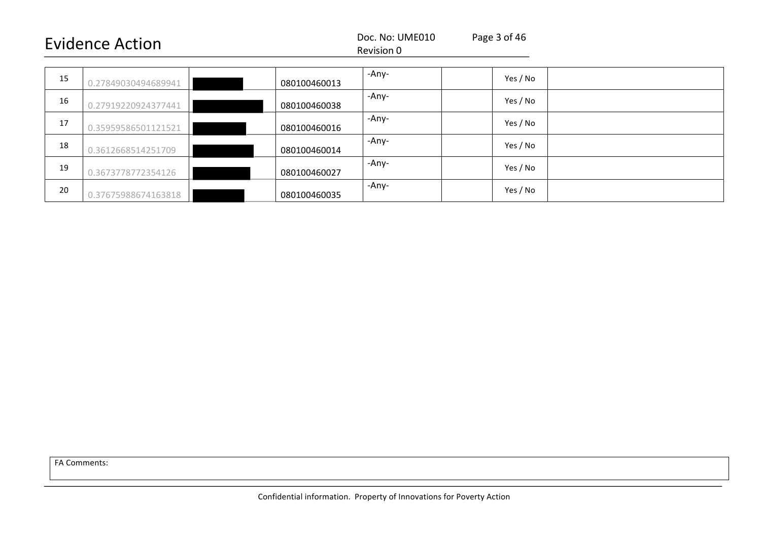#### Revision 0

| 15 | 0.27849030494689941 | 080100460013 | -Any- | Yes / No |  |
|----|---------------------|--------------|-------|----------|--|
| 16 | 0.27919220924377441 | 080100460038 | -Any- | Yes / No |  |
| 17 | 0.35959586501121521 | 080100460016 | -Any- | Yes / No |  |
| 18 | 0.3612668514251709  | 080100460014 | -Any- | Yes / No |  |
| 19 | 0.3673778772354126  | 080100460027 | -Any- | Yes / No |  |
| 20 | 0.37675988674163818 | 080100460035 | -Any- | Yes / No |  |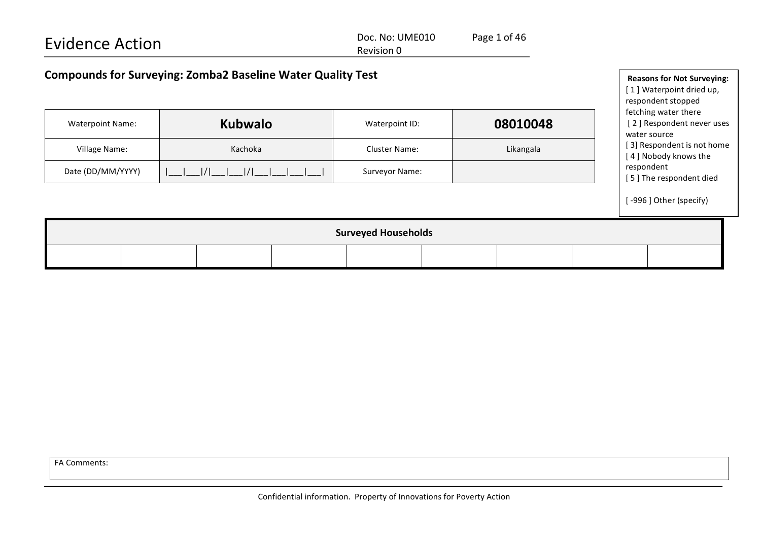| <b>Evidence Action</b>                                             | Doc. No: UME010<br>Revision 0 | Page 1 of 46 |                                                                                     |
|--------------------------------------------------------------------|-------------------------------|--------------|-------------------------------------------------------------------------------------|
| <b>Compounds for Surveying: Zomba2 Baseline Water Quality Test</b> |                               |              | <b>Reasons for Not Surveying:</b><br>[1] Waterpoint dried up,<br>respondent stopped |

fetching water there

water source

respondent

[2] Respondent never uses

[ 3] Respondent is not home [4] Nobody knows the

[5] The respondent died

[-996] Other (specify)

Waterpoint Name: **Kubwalo Kubwalo** Waterpoint ID: **08010048** 

Village Name: Note and Number 2012 Cluster Name: Name: Cluster Name: Cluster Name: Cluster Name: Cluster Name: Likangala

Date (DD/MM/YYYY) |\_\_\_|\_\_\_|/|\_\_\_|\_\_\_|/|\_\_\_|\_\_\_|\_\_\_|\_\_\_| Surveyor Name:

| <b>Surveyed Households</b> |  |  |  |  |  |  |  |  |
|----------------------------|--|--|--|--|--|--|--|--|
|                            |  |  |  |  |  |  |  |  |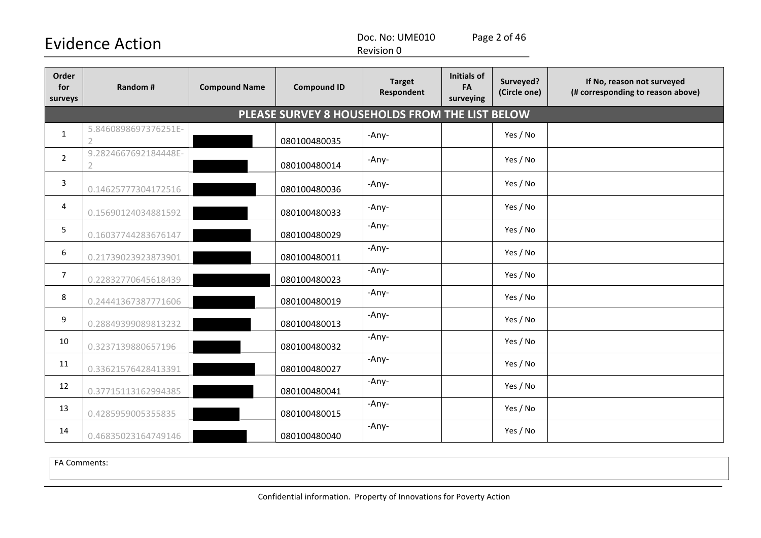Doc. No: UME010 Page 2 of 46

Revision 0

| Order<br>for<br>surveys | Random #                                       | <b>Compound Name</b> | <b>Compound ID</b> | <b>Target</b><br>Respondent | <b>Initials of</b><br>FA<br>surveying | Surveyed?<br>(Circle one) | If No, reason not surveyed<br>(# corresponding to reason above) |  |  |  |  |  |
|-------------------------|------------------------------------------------|----------------------|--------------------|-----------------------------|---------------------------------------|---------------------------|-----------------------------------------------------------------|--|--|--|--|--|
|                         | PLEASE SURVEY 8 HOUSEHOLDS FROM THE LIST BELOW |                      |                    |                             |                                       |                           |                                                                 |  |  |  |  |  |
| $\mathbf{1}$            | 5.8460898697376251E-<br>$\overline{2}$         |                      | 080100480035       | -Any-                       |                                       | Yes / No                  |                                                                 |  |  |  |  |  |
| $\overline{2}$          | 9.2824667692184448E-                           |                      | 080100480014       | -Any-                       |                                       | Yes / No                  |                                                                 |  |  |  |  |  |
| 3                       | 0.14625777304172516                            |                      | 080100480036       | -Any-                       |                                       | Yes / No                  |                                                                 |  |  |  |  |  |
| 4                       | 0.15690124034881592                            |                      | 080100480033       | -Any-                       |                                       | Yes / No                  |                                                                 |  |  |  |  |  |
| 5                       | 0.16037744283676147                            |                      | 080100480029       | -Any-                       |                                       | Yes / No                  |                                                                 |  |  |  |  |  |
| 6                       | 0.21739023923873901                            |                      | 080100480011       | -Any-                       |                                       | Yes / No                  |                                                                 |  |  |  |  |  |
| $\overline{7}$          | 0.22832770645618439                            |                      | 080100480023       | -Any-                       |                                       | Yes / No                  |                                                                 |  |  |  |  |  |
| 8                       | 0.24441367387771606                            |                      | 080100480019       | -Any-                       |                                       | Yes / No                  |                                                                 |  |  |  |  |  |
| 9                       | 0.28849399089813232                            |                      | 080100480013       | -Any-                       |                                       | Yes / No                  |                                                                 |  |  |  |  |  |
| 10                      | 0.3237139880657196                             |                      | 080100480032       | -Any-                       |                                       | Yes / No                  |                                                                 |  |  |  |  |  |
| 11                      | 0.33621576428413391                            |                      | 080100480027       | -Any-                       |                                       | Yes / No                  |                                                                 |  |  |  |  |  |
| 12                      | 0.37715113162994385                            |                      | 080100480041       | -Any-                       |                                       | Yes / No                  |                                                                 |  |  |  |  |  |
| 13                      | 0.4285959005355835                             |                      | 080100480015       | -Any-                       |                                       | Yes / No                  |                                                                 |  |  |  |  |  |
| 14                      | 0.46835023164749146                            |                      | 080100480040       | -Any-                       |                                       | Yes / No                  |                                                                 |  |  |  |  |  |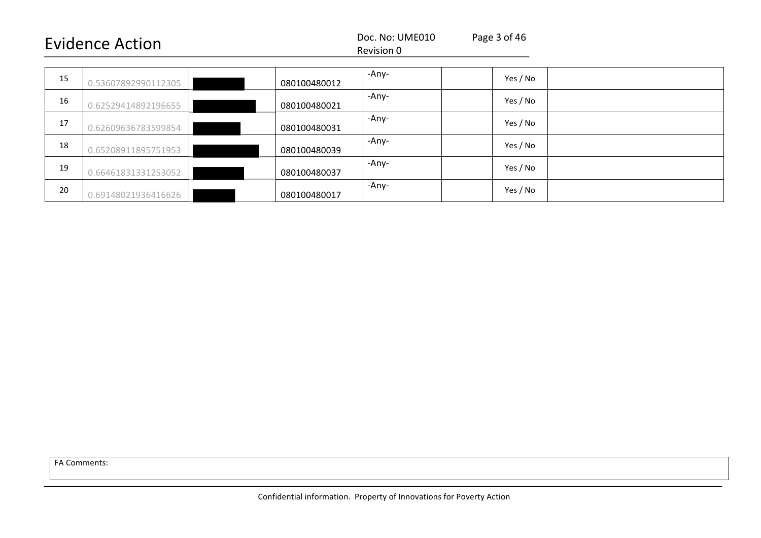#### Revision 0

| 15 | 0.53607892990112305 | 080100480012 | -Any- | Yes / No |  |
|----|---------------------|--------------|-------|----------|--|
| 16 | 0.62529414892196655 | 080100480021 | -Any- | Yes / No |  |
| 17 | 0.62609636783599854 | 080100480031 | -Any- | Yes / No |  |
| 18 | 0.65208911895751953 | 080100480039 | -Any- | Yes / No |  |
| 19 | 0.66461831331253052 | 080100480037 | -Any- | Yes / No |  |
| 20 | 0.69148021936416626 | 080100480017 | -Any- | Yes / No |  |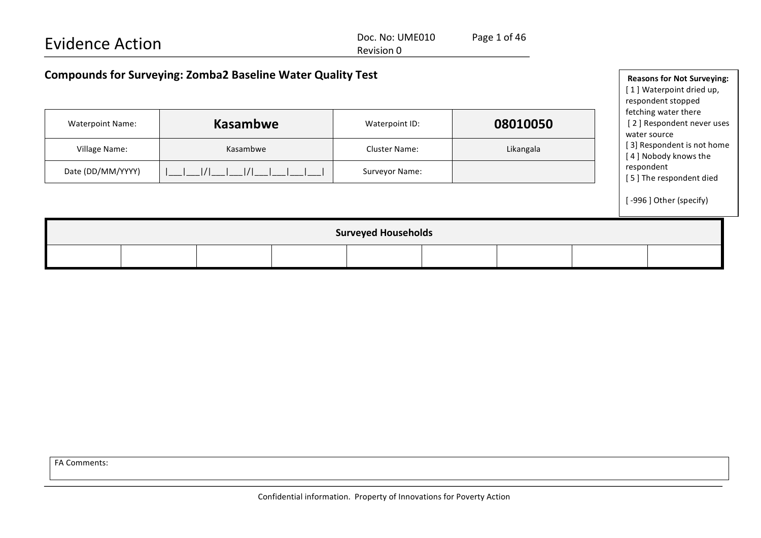| <b>Evidence Action</b>                                             | Page 1 of 46<br>Doc. No: UME010<br>Revision 0 |  |                                                               |
|--------------------------------------------------------------------|-----------------------------------------------|--|---------------------------------------------------------------|
| <b>Compounds for Surveying: Zomba2 Baseline Water Quality Test</b> |                                               |  | <b>Reasons for Not Surveying:</b><br>[1] Waterpoint dried up, |

respondent stopped

| <b>Waterpoint Name:</b> | <b>Kasambwe</b> | Waterpoint ID:       | 08010050  | fetching water there<br>[2] Respondent never uses<br>water source |
|-------------------------|-----------------|----------------------|-----------|-------------------------------------------------------------------|
| Village Name:           | Kasambwe        | <b>Cluster Name:</b> | Likangala | [3] Respondent is not home<br>[4] Nobody knows the                |
| Date (DD/MM/YYYY)       |                 | Surveyor Name:       |           | respondent<br>[5] The respondent died                             |
|                         |                 |                      |           | [-996] Other (specify)                                            |

| <b>Surveyed Households</b> |  |  |  |  |  |  |  |  |
|----------------------------|--|--|--|--|--|--|--|--|
|                            |  |  |  |  |  |  |  |  |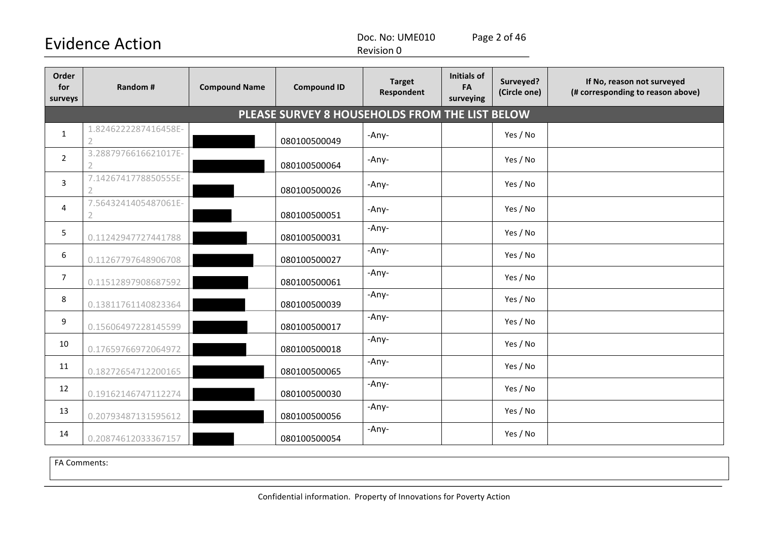Doc. No: UME010 Page 2 of 46

Revision 0

| Order<br>for<br>surveys | Random #                               | <b>Compound Name</b> | <b>Compound ID</b>                             | <b>Target</b><br>Respondent | <b>Initials of</b><br>FA<br>surveying | Surveyed?<br>(Circle one) | If No, reason not surveyed<br>(# corresponding to reason above) |
|-------------------------|----------------------------------------|----------------------|------------------------------------------------|-----------------------------|---------------------------------------|---------------------------|-----------------------------------------------------------------|
|                         |                                        |                      | PLEASE SURVEY 8 HOUSEHOLDS FROM THE LIST BELOW |                             |                                       |                           |                                                                 |
| $\mathbf{1}$            | 1.8246222287416458E-<br>$\overline{2}$ |                      | 080100500049                                   | -Any-                       |                                       | Yes / No                  |                                                                 |
| $\overline{2}$          | 3.2887976616621017E-                   |                      | 080100500064                                   | -Any-                       |                                       | Yes / No                  |                                                                 |
| $\overline{3}$          | 7.1426741778850555E-<br>$\mathcal{P}$  |                      | 080100500026                                   | -Any-                       |                                       | Yes / No                  |                                                                 |
| 4                       | 7.5643241405487061E-                   |                      | 080100500051                                   | -Any-                       |                                       | Yes / No                  |                                                                 |
| 5                       | 0.11242947727441788                    |                      | 080100500031                                   | -Any-                       |                                       | Yes / No                  |                                                                 |
| 6                       | 0.11267797648906708                    |                      | 080100500027                                   | -Any-                       |                                       | Yes / No                  |                                                                 |
| $\overline{7}$          | 0.11512897908687592                    |                      | 080100500061                                   | -Any-                       |                                       | Yes / No                  |                                                                 |
| 8                       | 0.13811761140823364                    |                      | 080100500039                                   | -Any-                       |                                       | Yes / No                  |                                                                 |
| 9                       | 0.15606497228145599                    |                      | 080100500017                                   | -Any-                       |                                       | Yes / No                  |                                                                 |
| 10                      | 0.17659766972064972                    |                      | 080100500018                                   | -Any-                       |                                       | Yes / No                  |                                                                 |
| 11                      | 0.18272654712200165                    |                      | 080100500065                                   | -Any-                       |                                       | Yes / No                  |                                                                 |
| 12                      | 0.19162146747112274                    |                      | 080100500030                                   | -Any-                       |                                       | Yes / No                  |                                                                 |
| 13                      | 0.20793487131595612                    |                      | 080100500056                                   | -Any-                       |                                       | Yes / No                  |                                                                 |
| 14                      | 0.20874612033367157                    |                      | 080100500054                                   | -Any-                       |                                       | Yes / No                  |                                                                 |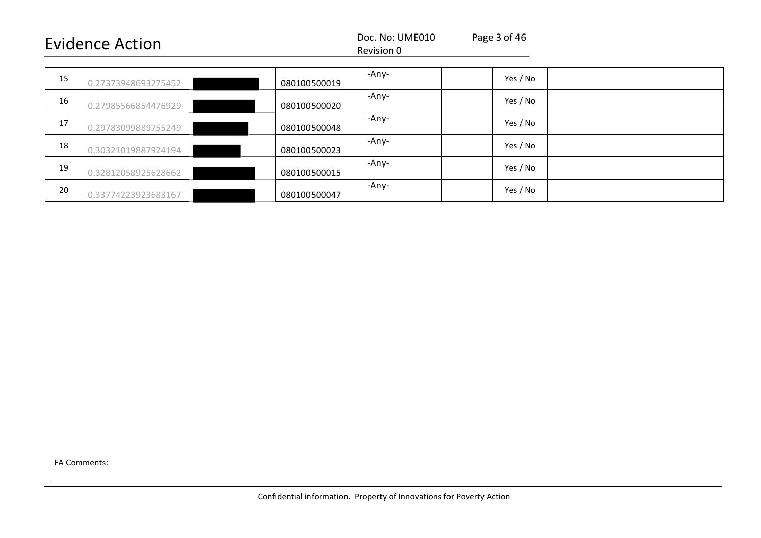#### Revision 0

| 15 | 0.27373948693275452 | 080100500019 | -Any- | Yes / No |
|----|---------------------|--------------|-------|----------|
| 16 | 0.27985566854476929 | 080100500020 | -Any- | Yes / No |
| 17 | 0.29783099889755249 | 080100500048 | -Any- | Yes / No |
| 18 | 0.30321019887924194 | 080100500023 | -Any- | Yes / No |
| 19 | 0.32812058925628662 | 080100500015 | -Any- | Yes / No |
| 20 | 0.33774223923683167 | 080100500047 | -Any- | Yes / No |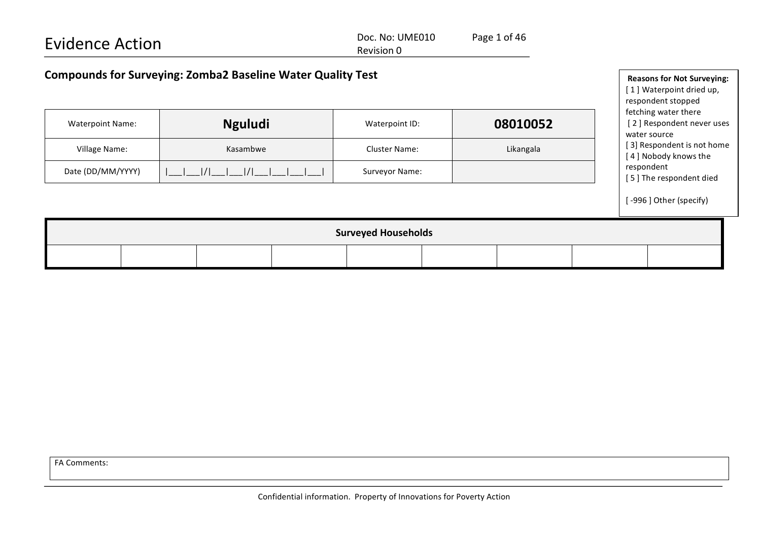| <b>Evidence Action</b>                                             | Doc. No: UME010<br>Revision 0 | Page 1 of 46 |                                   |  |
|--------------------------------------------------------------------|-------------------------------|--------------|-----------------------------------|--|
| <b>Compounds for Surveying: Zomba2 Baseline Water Quality Test</b> |                               |              | <b>Reasons for Not Surveying:</b> |  |

[1] Waterpoint dried up,

|                            |                |                      |           | respondent stopped<br>fetching water there         |  |  |  |  |
|----------------------------|----------------|----------------------|-----------|----------------------------------------------------|--|--|--|--|
| <b>Waterpoint Name:</b>    | <b>Nguludi</b> | Waterpoint ID:       | 08010052  | [2] Respondent never uses<br>water source          |  |  |  |  |
| Village Name:              | Kasambwe       | <b>Cluster Name:</b> | Likangala | [3] Respondent is not home<br>[4] Nobody knows the |  |  |  |  |
| Date (DD/MM/YYYY)          | 1/1            | Surveyor Name:       |           | respondent<br>[5] The respondent died              |  |  |  |  |
|                            |                |                      |           | [-996] Other (specify)                             |  |  |  |  |
| <b>Surveyed Households</b> |                |                      |           |                                                    |  |  |  |  |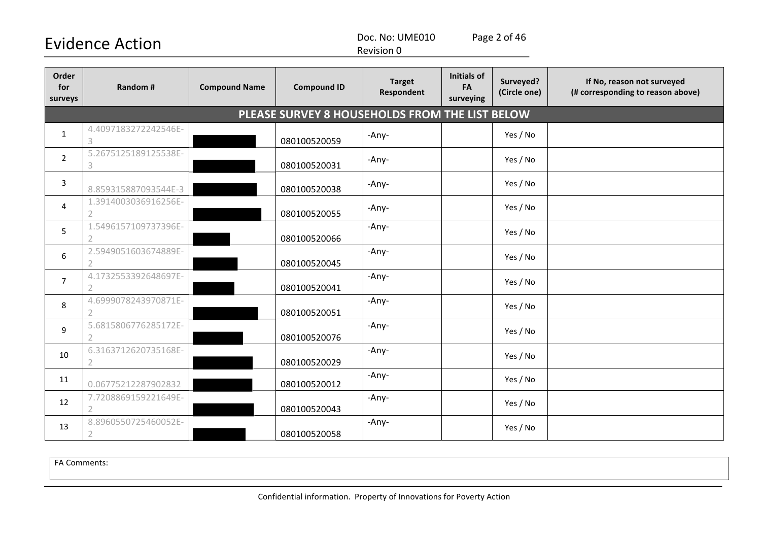Doc. No: UME010 Page 2 of 46

Revision 0

| Order<br>for<br>surveys | Random #                                          | <b>Compound Name</b> | <b>Compound ID</b>                             | <b>Target</b><br><b>Respondent</b> | <b>Initials of</b><br>FA<br>surveying | Surveyed?<br>(Circle one) | If No, reason not surveyed<br>(# corresponding to reason above) |
|-------------------------|---------------------------------------------------|----------------------|------------------------------------------------|------------------------------------|---------------------------------------|---------------------------|-----------------------------------------------------------------|
|                         |                                                   |                      | PLEASE SURVEY 8 HOUSEHOLDS FROM THE LIST BELOW |                                    |                                       |                           |                                                                 |
| $\mathbf{1}$            | 4.4097183272242546E-<br>3                         |                      | 080100520059                                   | -Any-                              |                                       | Yes / No                  |                                                                 |
| $\overline{2}$          | 5.2675125189125538E-<br>$\ensuremath{\mathsf{3}}$ |                      | 080100520031                                   | -Any-                              |                                       | Yes / No                  |                                                                 |
| 3                       | 8.859315887093544E-3                              |                      | 080100520038                                   | -Any-                              |                                       | Yes / No                  |                                                                 |
| $\overline{4}$          | 1.3914003036916256E-                              |                      | 080100520055                                   | -Any-                              |                                       | Yes / No                  |                                                                 |
| 5                       | 1.5496157109737396E-<br>$\mathcal{P}$             |                      | 080100520066                                   | -Any-                              |                                       | Yes / No                  |                                                                 |
| 6                       | 2.5949051603674889E-                              |                      | 080100520045                                   | -Any-                              |                                       | Yes / No                  |                                                                 |
| $\overline{7}$          | 4.1732553392648697E-<br>$\overline{2}$            |                      | 080100520041                                   | -Any-                              |                                       | Yes / No                  |                                                                 |
| 8                       | 4.6999078243970871E-                              |                      | 080100520051                                   | -Any-                              |                                       | Yes / No                  |                                                                 |
| 9                       | 5.6815806776285172E-                              |                      | 080100520076                                   | -Any-                              |                                       | Yes / No                  |                                                                 |
| 10                      | 6.3163712620735168E-                              |                      | 080100520029                                   | -Any-                              |                                       | Yes / No                  |                                                                 |
| 11                      | 0.06775212287902832                               |                      | 080100520012                                   | -Any-                              |                                       | Yes / No                  |                                                                 |
| 12                      | 7.7208869159221649E-<br>$\overline{2}$            |                      | 080100520043                                   | -Any-                              |                                       | Yes / No                  |                                                                 |
| 13                      | 8.8960550725460052E-                              |                      | 080100520058                                   | -Any-                              |                                       | Yes / No                  |                                                                 |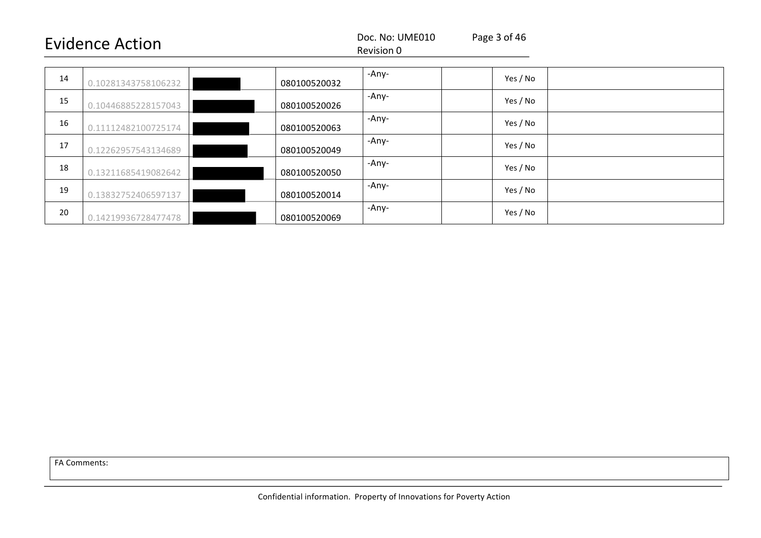#### Revision 0

| 14 | 0.10281343758106232 | 080100520032 | -Any- | Yes / No |  |
|----|---------------------|--------------|-------|----------|--|
| 15 | 0.10446885228157043 | 080100520026 | -Any- | Yes / No |  |
| 16 | 0.11112482100725174 | 080100520063 | -Any- | Yes / No |  |
| 17 | 0.12262957543134689 | 080100520049 | -Any- | Yes / No |  |
| 18 | 0.13211685419082642 | 080100520050 | -Any- | Yes / No |  |
| 19 | 0.13832752406597137 | 080100520014 | -Any- | Yes / No |  |
| 20 | 0.14219936728477478 | 080100520069 | -Any- | Yes / No |  |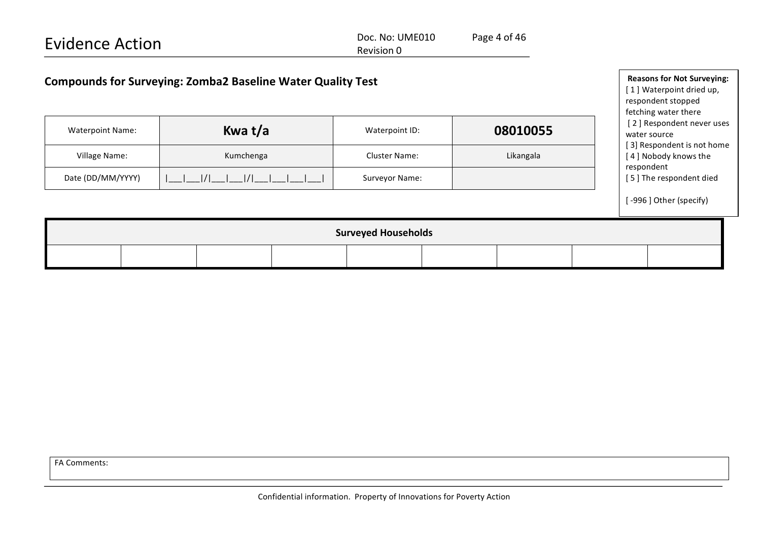Doc. No: UME010 Page 4 of 46 Revision 0

| <b>Compounds for Surveying: Zomba2 Baseline Water Quality Test</b> |           | <b>Reasons for Not Surveying:</b><br>[1] Waterpoint dried up,<br>respondent stopped<br>fetching water there |  |           |  |                                                                                                 |  |  |
|--------------------------------------------------------------------|-----------|-------------------------------------------------------------------------------------------------------------|--|-----------|--|-------------------------------------------------------------------------------------------------|--|--|
| <b>Waterpoint Name:</b>                                            | Kwa t/a   | 08010055<br>Waterpoint ID:                                                                                  |  |           |  | [2] Respondent never uses<br>water source<br>[3] Respondent is not home<br>[4] Nobody knows the |  |  |
| Village Name:                                                      | Kumchenga | <b>Cluster Name:</b>                                                                                        |  | Likangala |  |                                                                                                 |  |  |
| Date (DD/MM/YYYY)                                                  |           | Surveyor Name:                                                                                              |  |           |  | respondent<br>[5] The respondent died                                                           |  |  |
|                                                                    |           |                                                                                                             |  |           |  | [-996] Other (specify)                                                                          |  |  |
| <b>Surveyed Households</b>                                         |           |                                                                                                             |  |           |  |                                                                                                 |  |  |
|                                                                    |           |                                                                                                             |  |           |  |                                                                                                 |  |  |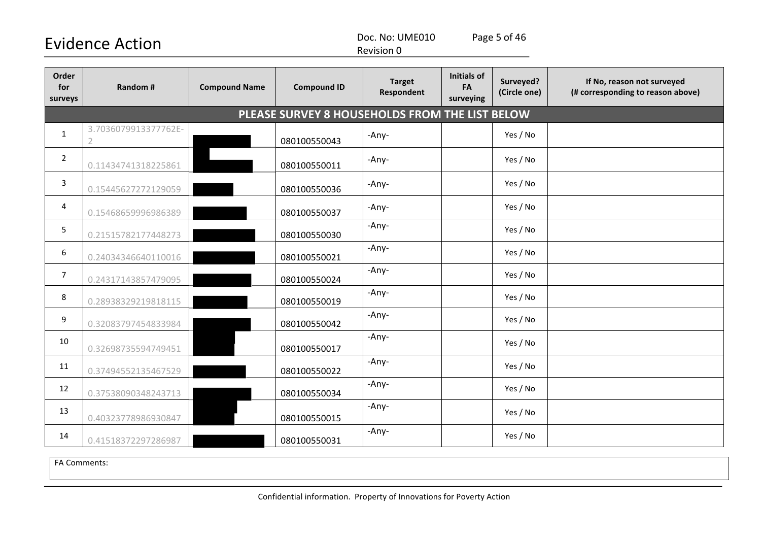Doc. No: UME010 Page 5 of 46

Revision 0

| Order<br>for<br>surveys | <b>Random#</b>                         | <b>Compound Name</b> | <b>Compound ID</b>                             | <b>Target</b><br>Respondent | <b>Initials of</b><br>FA<br>surveying | Surveyed?<br>(Circle one) | If No, reason not surveyed<br>(# corresponding to reason above) |
|-------------------------|----------------------------------------|----------------------|------------------------------------------------|-----------------------------|---------------------------------------|---------------------------|-----------------------------------------------------------------|
|                         |                                        |                      | PLEASE SURVEY 8 HOUSEHOLDS FROM THE LIST BELOW |                             |                                       |                           |                                                                 |
| $\mathbf{1}$            | 3.7036079913377762E-<br>$\overline{2}$ |                      | 080100550043                                   | -Any-                       |                                       | Yes / No                  |                                                                 |
| $\overline{2}$          | 0.11434741318225861                    |                      | 080100550011                                   | -Any-                       |                                       | Yes / No                  |                                                                 |
| $\mathbf{3}$            | 0.15445627272129059                    |                      | 080100550036                                   | -Any-                       |                                       | Yes / No                  |                                                                 |
| 4                       | 0.15468659996986389                    |                      | 080100550037                                   | -Any-                       |                                       | Yes / No                  |                                                                 |
| 5                       | 0.21515782177448273                    |                      | 080100550030                                   | -Any-                       |                                       | Yes / No                  |                                                                 |
| 6                       | 0.24034346640110016                    |                      | 080100550021                                   | -Any-                       |                                       | Yes / No                  |                                                                 |
| $\overline{7}$          | 0.24317143857479095                    |                      | 080100550024                                   | -Any-                       |                                       | Yes / No                  |                                                                 |
| 8                       | 0.28938329219818115                    |                      | 080100550019                                   | -Any-                       |                                       | Yes / No                  |                                                                 |
| 9                       | 0.32083797454833984                    |                      | 080100550042                                   | -Any-                       |                                       | Yes / No                  |                                                                 |
| 10                      | 0.32698735594749451                    |                      | 080100550017                                   | -Any-                       |                                       | Yes / No                  |                                                                 |
| 11                      | 0.37494552135467529                    |                      | 080100550022                                   | -Any-                       |                                       | Yes / No                  |                                                                 |
| 12                      | 0.37538090348243713                    |                      | 080100550034                                   | -Any-                       |                                       | Yes / No                  |                                                                 |
| 13                      | 0.40323778986930847                    |                      | 080100550015                                   | -Any-                       |                                       | Yes / No                  |                                                                 |
| 14                      | 0.41518372297286987                    |                      | 080100550031                                   | -Any-                       |                                       | Yes / No                  |                                                                 |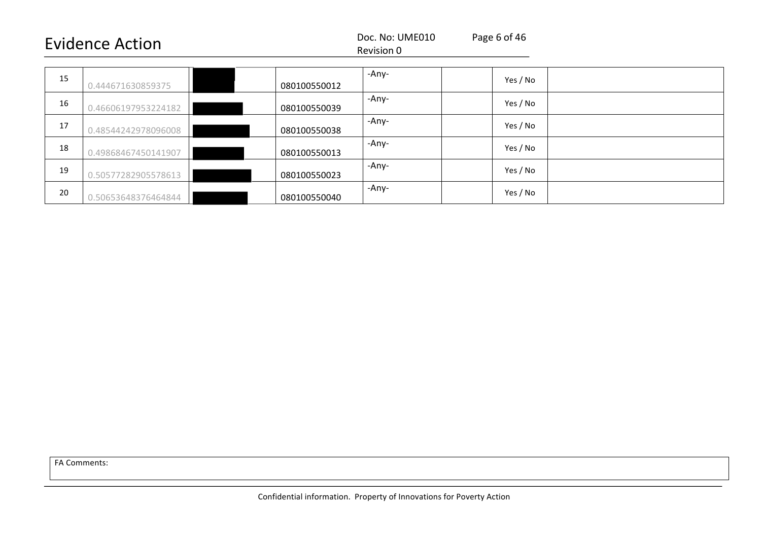#### Revision 0

| 15 | 0.444671630859375   | 080100550012 | -Any- | Yes / No |  |
|----|---------------------|--------------|-------|----------|--|
| 16 | 0.46606197953224182 | 080100550039 | -Any- | Yes / No |  |
| 17 | 0.48544242978096008 | 080100550038 | -Any- | Yes / No |  |
| 18 | 0.49868467450141907 | 080100550013 | -Any- | Yes / No |  |
| 19 | 0.50577282905578613 | 080100550023 | -Any- | Yes / No |  |
| 20 | 0.50653648376464844 | 080100550040 | -Any- | Yes / No |  |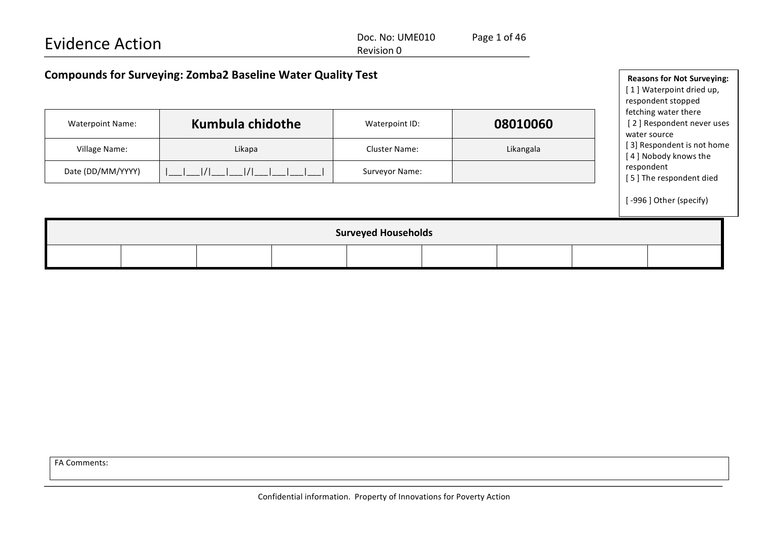| <b>Evidence Action</b> |                                                                    |                                                                                     | Doc. No: UME010<br>Revision 0 | Page 1 of 46 |                                                                   |
|------------------------|--------------------------------------------------------------------|-------------------------------------------------------------------------------------|-------------------------------|--------------|-------------------------------------------------------------------|
|                        | <b>Compounds for Surveying: Zomba2 Baseline Water Quality Test</b> | <b>Reasons for Not Surveying:</b><br>[1] Waterpoint dried up,<br>respondent stopped |                               |              |                                                                   |
|                        | Kumbula chidothe<br><b>Waterpoint Name:</b>                        |                                                                                     | Waterpoint ID:                | 08010060     | fetching water there<br>[2] Respondent never uses<br>water source |
|                        | Village Name:                                                      | Likapa                                                                              | Cluster Name:                 | Likangala    | [3] Respondent is not home<br>[4] Nobody knows the                |
|                        | Date (DD/MM/YYYY)                                                  |                                                                                     |                               |              | respondent<br>[E] The reconondent died                            |

[-996] Other (specify)

[5] The respondent died

| <b>Surveyed Households</b> |  |  |  |  |  |  |  |  |  |
|----------------------------|--|--|--|--|--|--|--|--|--|
|                            |  |  |  |  |  |  |  |  |  |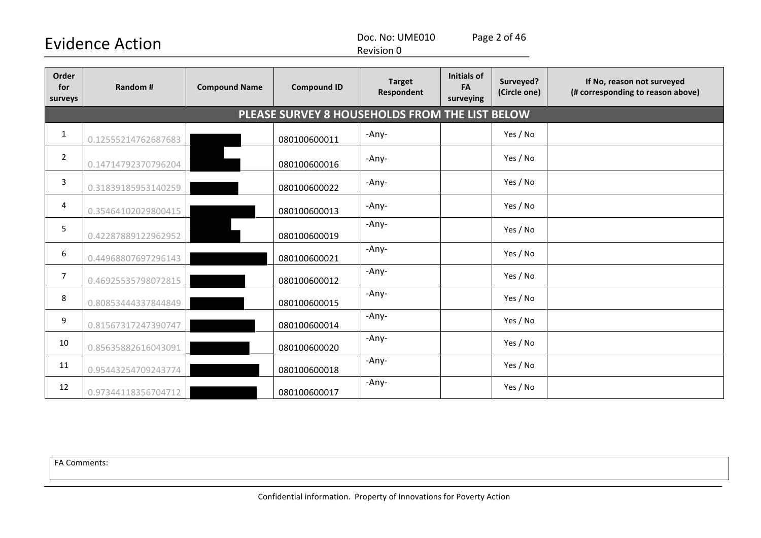Doc. No: UME010 Page 2 of 46

| <b>Revision 0</b> |  |
|-------------------|--|
|-------------------|--|

| Order<br>for<br>surveys | Random #            | <b>Compound Name</b> | <b>Compound ID</b>                             | <b>Target</b><br>Respondent | <b>Initials of</b><br>FA<br>surveying | Surveyed?<br>(Circle one) | If No, reason not surveyed<br>(# corresponding to reason above) |
|-------------------------|---------------------|----------------------|------------------------------------------------|-----------------------------|---------------------------------------|---------------------------|-----------------------------------------------------------------|
|                         |                     |                      | PLEASE SURVEY 8 HOUSEHOLDS FROM THE LIST BELOW |                             |                                       |                           |                                                                 |
| $\mathbf{1}$            | 0.12555214762687683 |                      | 080100600011                                   | -Any-                       |                                       | Yes / No                  |                                                                 |
| $\overline{2}$          | 0.14714792370796204 |                      | 080100600016                                   | -Any-                       |                                       | Yes / No                  |                                                                 |
| 3                       | 0.31839185953140259 |                      | 080100600022                                   | -Any-                       |                                       | Yes / No                  |                                                                 |
| 4                       | 0.35464102029800415 |                      | 080100600013                                   | -Any-                       |                                       | Yes / No                  |                                                                 |
| 5                       | 0.42287889122962952 |                      | 080100600019                                   | -Any-                       |                                       | Yes / No                  |                                                                 |
| 6                       | 0.44968807697296143 |                      | 080100600021                                   | -Any-                       |                                       | Yes / No                  |                                                                 |
| $\overline{7}$          | 0.46925535798072815 |                      | 080100600012                                   | -Any-                       |                                       | Yes / No                  |                                                                 |
| 8                       | 0.80853444337844849 |                      | 080100600015                                   | -Any-                       |                                       | Yes / No                  |                                                                 |
| 9                       | 0.81567317247390747 |                      | 080100600014                                   | -Any-                       |                                       | Yes / No                  |                                                                 |
| 10                      | 0.85635882616043091 |                      | 080100600020                                   | -Any-                       |                                       | Yes / No                  |                                                                 |
| 11                      | 0.95443254709243774 |                      | 080100600018                                   | -Any-                       |                                       | Yes / No                  |                                                                 |
| 12                      | 0.97344118356704712 |                      | 080100600017                                   | -Any-                       |                                       | Yes / No                  |                                                                 |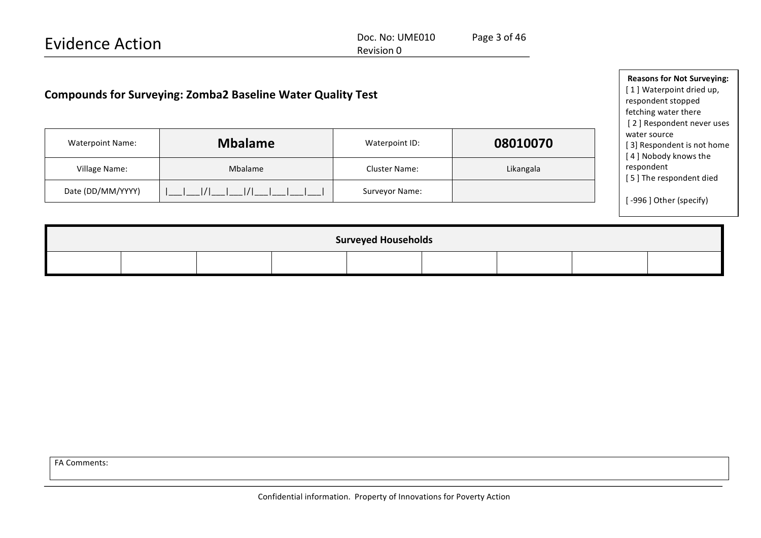Doc. No: UME010 Page 3 of 46 Revision 0

| <b>Compounds for Surveying: Zomba2 Baseline Water Quality Test</b> | <b>Reasons for Not Surveying:</b><br>[1] Waterpoint dried up,<br>respondent stopped<br>fetching water there<br>[2] Respondent never uses |  |                                        |  |           |  |                                                                    |  |  |  |
|--------------------------------------------------------------------|------------------------------------------------------------------------------------------------------------------------------------------|--|----------------------------------------|--|-----------|--|--------------------------------------------------------------------|--|--|--|
| <b>Waterpoint Name:</b>                                            | <b>Mbalame</b><br>Village Name:<br>Mbalame<br>Date (DD/MM/YYYY)                                                                          |  | Waterpoint ID:                         |  | 08010070  |  | water source<br>[3] Respondent is not home<br>[4] Nobody knows the |  |  |  |
|                                                                    |                                                                                                                                          |  | <b>Cluster Name:</b><br>Surveyor Name: |  | Likangala |  | respondent<br>[5] The respondent died                              |  |  |  |
|                                                                    |                                                                                                                                          |  |                                        |  |           |  | [-996] Other (specify)                                             |  |  |  |
|                                                                    |                                                                                                                                          |  |                                        |  |           |  |                                                                    |  |  |  |
|                                                                    | <b>Surveyed Households</b>                                                                                                               |  |                                        |  |           |  |                                                                    |  |  |  |
|                                                                    |                                                                                                                                          |  |                                        |  |           |  |                                                                    |  |  |  |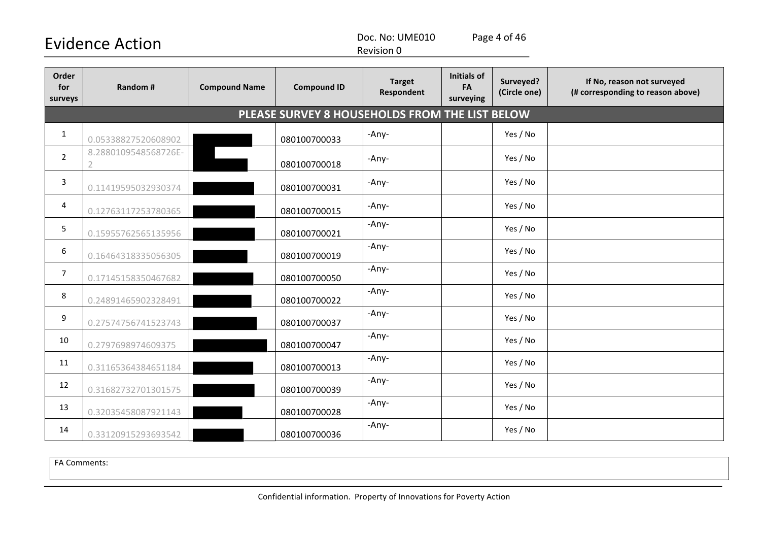Doc. No: UME010 Page 4 of 46

Revision 0

| Order<br>for<br>surveys | Random #                                       | <b>Compound Name</b> | <b>Compound ID</b> | <b>Target</b><br>Respondent | <b>Initials of</b><br>FA<br>surveying | Surveyed?<br>(Circle one) | If No, reason not surveyed<br>(# corresponding to reason above) |  |  |  |  |
|-------------------------|------------------------------------------------|----------------------|--------------------|-----------------------------|---------------------------------------|---------------------------|-----------------------------------------------------------------|--|--|--|--|
|                         | PLEASE SURVEY 8 HOUSEHOLDS FROM THE LIST BELOW |                      |                    |                             |                                       |                           |                                                                 |  |  |  |  |
| $\mathbf{1}$            | 0.05338827520608902                            |                      | 080100700033       | -Any-                       |                                       | Yes / No                  |                                                                 |  |  |  |  |
| $\overline{2}$          | 8.2880109548568726E-<br>$\overline{2}$         |                      | 080100700018       | -Any-                       |                                       | Yes / No                  |                                                                 |  |  |  |  |
| 3                       | 0.11419595032930374                            |                      | 080100700031       | -Any-                       |                                       | Yes / No                  |                                                                 |  |  |  |  |
| 4                       | 0.12763117253780365                            |                      | 080100700015       | -Any-                       |                                       | Yes / No                  |                                                                 |  |  |  |  |
| 5                       | 0.15955762565135956                            |                      | 080100700021       | -Any-                       |                                       | Yes / No                  |                                                                 |  |  |  |  |
| 6                       | 0.16464318335056305                            |                      | 080100700019       | -Any-                       |                                       | Yes / No                  |                                                                 |  |  |  |  |
| $\overline{7}$          | 0.17145158350467682                            |                      | 080100700050       | -Any-                       |                                       | Yes / No                  |                                                                 |  |  |  |  |
| 8                       | 0.24891465902328491                            |                      | 080100700022       | -Any-                       |                                       | Yes / No                  |                                                                 |  |  |  |  |
| 9                       | 0.27574756741523743                            |                      | 080100700037       | -Any-                       |                                       | Yes / No                  |                                                                 |  |  |  |  |
| 10                      | 0.2797698974609375                             |                      | 080100700047       | -Any-                       |                                       | Yes / No                  |                                                                 |  |  |  |  |
| 11                      | 0.31165364384651184                            |                      | 080100700013       | -Any-                       |                                       | Yes / No                  |                                                                 |  |  |  |  |
| 12                      | 0.31682732701301575                            |                      | 080100700039       | -Any-                       |                                       | Yes / No                  |                                                                 |  |  |  |  |
| 13                      | 0.32035458087921143                            |                      | 080100700028       | -Any-                       |                                       | Yes / No                  |                                                                 |  |  |  |  |
| 14                      | 0.33120915293693542                            |                      | 080100700036       | -Any-                       |                                       | Yes / No                  |                                                                 |  |  |  |  |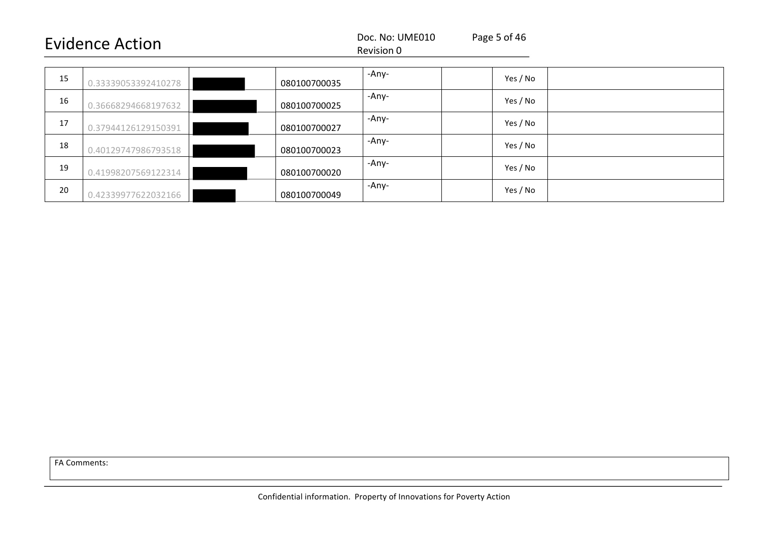|--|

#### Revision 0

| 15 | 0.33339053392410278 | 080100700035 | -Any- | Yes / No |
|----|---------------------|--------------|-------|----------|
| 16 | 0.36668294668197632 | 080100700025 | -Any- | Yes / No |
| 17 | 0.37944126129150391 | 080100700027 | -Any- | Yes / No |
| 18 | 0.40129747986793518 | 080100700023 | -Any- | Yes / No |
| 19 | 0.41998207569122314 | 080100700020 | -Any- | Yes / No |
| 20 | 0.42339977622032166 | 080100700049 | -Any- | Yes / No |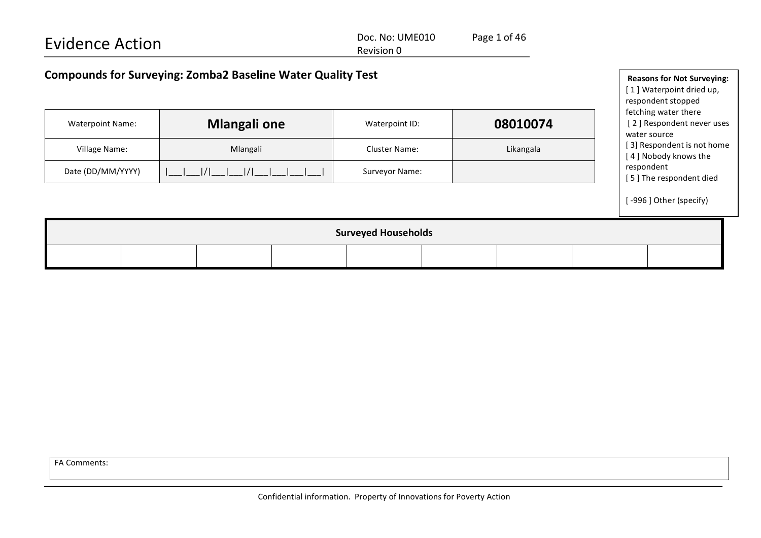| <b>Evidence Action</b>                                             | Doc. No: UME010<br>Revision 0 | Page 1 of 46 |                                                               |
|--------------------------------------------------------------------|-------------------------------|--------------|---------------------------------------------------------------|
| <b>Compounds for Surveying: Zomba2 Baseline Water Quality Test</b> |                               |              | <b>Reasons for Not Surveying:</b><br>[1] Waterpoint dried up, |
|                                                                    |                               |              | respondent stopped                                            |

fetching water there

| <b>Waterpoint Name:</b> | <b>Mlangali one</b>        |                                               | Waterpoint ID: |  | 08010074                                           |  | [2] Respondent never uses<br>water source |                        |  |  |
|-------------------------|----------------------------|-----------------------------------------------|----------------|--|----------------------------------------------------|--|-------------------------------------------|------------------------|--|--|
| Village Name:           |                            | Likangala<br>Mlangali<br><b>Cluster Name:</b> |                |  | [3] Respondent is not home<br>[4] Nobody knows the |  |                                           |                        |  |  |
| Date (DD/MM/YYYY)       | $\frac{1}{1}$<br>1/1       |                                               | Surveyor Name: |  |                                                    |  | respondent<br>[5] The respondent died     |                        |  |  |
|                         |                            |                                               |                |  |                                                    |  |                                           | [-996] Other (specify) |  |  |
|                         | <b>Surveyed Households</b> |                                               |                |  |                                                    |  |                                           |                        |  |  |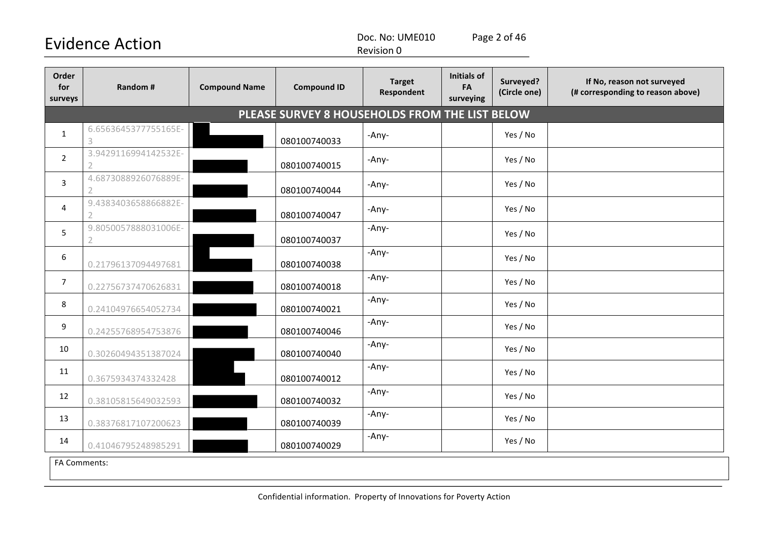Doc. No: UME010 Page 2 of 46

Revision 0

| Order<br>for<br>surveys | Random #                  | <b>Compound Name</b> | <b>Compound ID</b>                             | <b>Target</b><br>Respondent | <b>Initials of</b><br>FA<br>surveying | Surveyed?<br>(Circle one) | If No, reason not surveyed<br>(# corresponding to reason above) |
|-------------------------|---------------------------|----------------------|------------------------------------------------|-----------------------------|---------------------------------------|---------------------------|-----------------------------------------------------------------|
|                         |                           |                      | PLEASE SURVEY 8 HOUSEHOLDS FROM THE LIST BELOW |                             |                                       |                           |                                                                 |
| $\mathbf{1}$            | 6.6563645377755165E-<br>3 |                      | 080100740033                                   | -Any-                       |                                       | Yes / No                  |                                                                 |
| $\overline{2}$          | 3.9429116994142532E-<br>2 |                      | 080100740015                                   | -Any-                       |                                       | Yes / No                  |                                                                 |
| 3                       | 4.6873088926076889E-      |                      | 080100740044                                   | -Any-                       |                                       | Yes / No                  |                                                                 |
| 4                       | 9.4383403658866882E-      |                      | 080100740047                                   | -Any-                       |                                       | Yes / No                  |                                                                 |
| 5                       | 9.8050057888031006E-<br>2 |                      | 080100740037                                   | -Any-                       |                                       | Yes / No                  |                                                                 |
| $\boldsymbol{6}$        | 0.21796137094497681       |                      | 080100740038                                   | -Any-                       |                                       | Yes / No                  |                                                                 |
| $\overline{7}$          | 0.22756737470626831       |                      | 080100740018                                   | -Any-                       |                                       | Yes / No                  |                                                                 |
| 8                       | 0.24104976654052734       |                      | 080100740021                                   | -Any-                       |                                       | Yes / No                  |                                                                 |
| 9                       | 0.24255768954753876       |                      | 080100740046                                   | -Any-                       |                                       | Yes / No                  |                                                                 |
| 10                      | 0.30260494351387024       |                      | 080100740040                                   | -Any-                       |                                       | Yes / No                  |                                                                 |
| 11                      | 0.3675934374332428        |                      | 080100740012                                   | -Any-                       |                                       | Yes / No                  |                                                                 |
| 12                      | 0.38105815649032593       |                      | 080100740032                                   | -Any-                       |                                       | Yes / No                  |                                                                 |
| 13                      | 0.38376817107200623       |                      | 080100740039                                   | -Any-                       |                                       | Yes / No                  |                                                                 |
| 14                      | 0.41046795248985291       |                      | 080100740029                                   | -Any-                       |                                       | Yes / No                  |                                                                 |
| FA Comments:            |                           |                      |                                                |                             |                                       |                           |                                                                 |

Confidential information. Property of Innovations for Poverty Action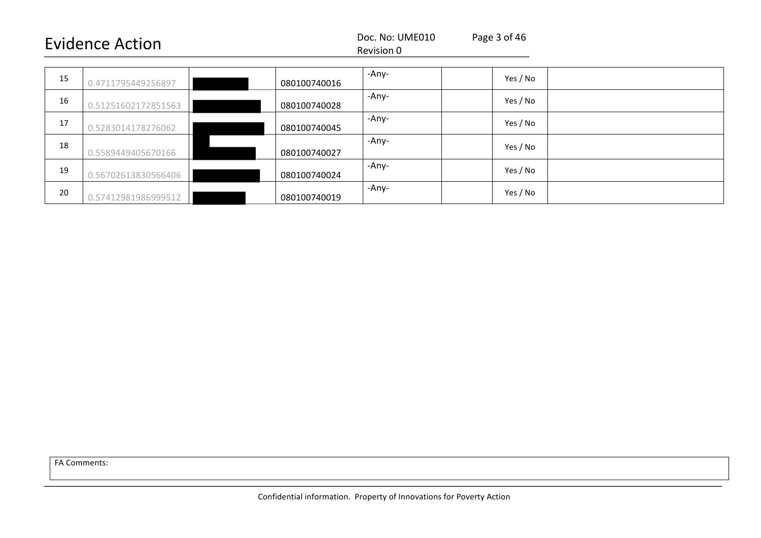#### Revision 0

| 15 | 0.4711795449256897  | 080100740016 | -Any- | Yes / No |
|----|---------------------|--------------|-------|----------|
| 16 | 0.51251602172851563 | 080100740028 | -Any- | Yes / No |
| 17 | 0.5283014178276062  | 080100740045 | -Any- | Yes / No |
| 18 | 0.5589449405670166  | 080100740027 | -Any- | Yes / No |
| 19 | 0.56702613830566406 | 080100740024 | -Any- | Yes / No |
| 20 | 0.57412981986999512 | 080100740019 | -Any- | Yes / No |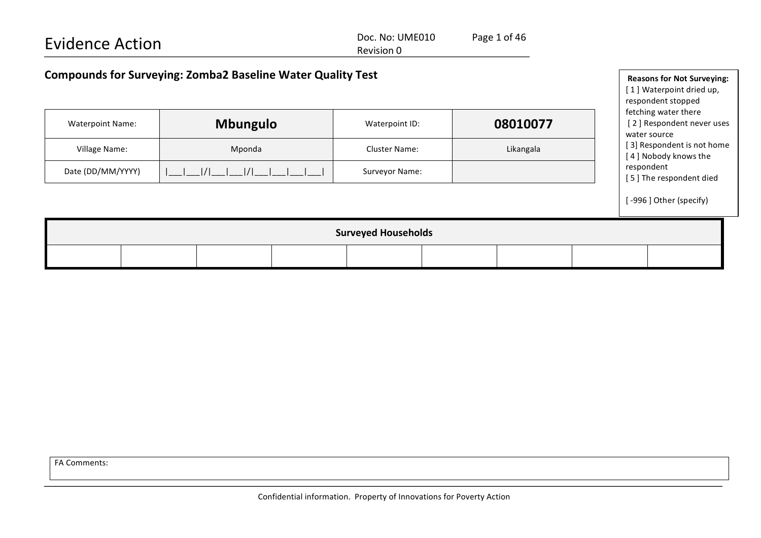| <b>Evidence Action</b>                                             | Doc. No: UME010<br>Revision 0 | Page 1 of 46 |                                                                                     |
|--------------------------------------------------------------------|-------------------------------|--------------|-------------------------------------------------------------------------------------|
| <b>Compounds for Surveying: Zomba2 Baseline Water Quality Test</b> |                               |              | <b>Reasons for Not Surveying:</b><br>[1] Waterpoint dried up,<br>respondent stopped |

fetching water there

water source

[2] Respondent never uses

[ 3] Respondent is not home

|                                                          |  |  |  | - . <del>.</del> |  | __________ |  |                                       | [4] Nobody knows the   |
|----------------------------------------------------------|--|--|--|------------------|--|------------|--|---------------------------------------|------------------------|
| Date (DD/MM/YYYY)<br>$ I $ $ I $ $ I $<br>Surveyor Name: |  |  |  |                  |  |            |  | respondent<br>[5] The respondent died |                        |
|                                                          |  |  |  |                  |  |            |  |                                       | [-996] Other (specify) |
| <b>Surveyed Households</b>                               |  |  |  |                  |  |            |  |                                       |                        |
|                                                          |  |  |  |                  |  |            |  |                                       |                        |

Waterpoint Name: **Mbungulo** Waterpoint ID: **08010077** 

Village Name: The Cluster Name: Likangala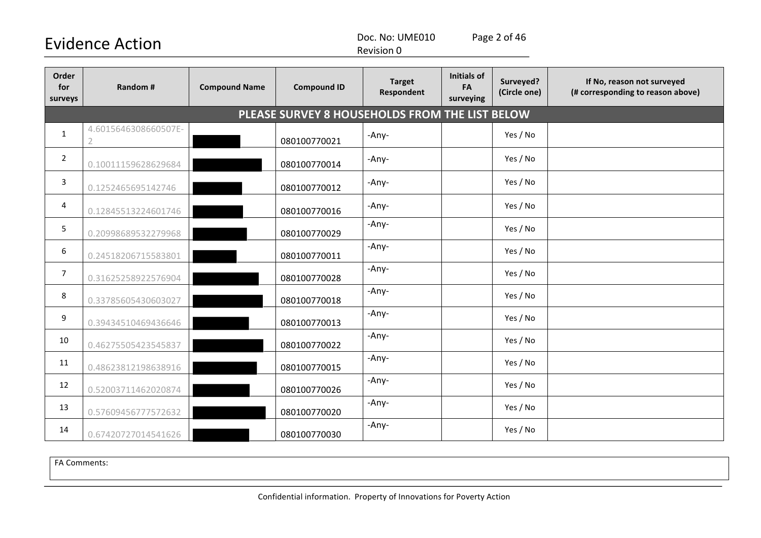Doc. No: UME010 Page 2 of 46

Revision 0

| Order<br>for<br>surveys | <b>Random#</b>                     | <b>Compound Name</b> | <b>Compound ID</b>                             | <b>Target</b><br>Respondent | <b>Initials of</b><br>FA<br>surveying | Surveyed?<br>(Circle one) | If No, reason not surveyed<br>(# corresponding to reason above) |
|-------------------------|------------------------------------|----------------------|------------------------------------------------|-----------------------------|---------------------------------------|---------------------------|-----------------------------------------------------------------|
|                         |                                    |                      | PLEASE SURVEY 8 HOUSEHOLDS FROM THE LIST BELOW |                             |                                       |                           |                                                                 |
| $\mathbf{1}$            | 4.6015646308660507E-<br>$\sqrt{2}$ |                      | 080100770021                                   | -Any-                       |                                       | Yes / No                  |                                                                 |
| $\overline{2}$          | 0.10011159628629684                |                      | 080100770014                                   | -Any-                       |                                       | Yes / No                  |                                                                 |
| 3                       | 0.1252465695142746                 |                      | 080100770012                                   | -Any-                       |                                       | Yes / No                  |                                                                 |
| 4                       | 0.12845513224601746                |                      | 080100770016                                   | -Any-                       |                                       | Yes / No                  |                                                                 |
| 5                       | 0.20998689532279968                |                      | 080100770029                                   | -Any-                       |                                       | Yes / No                  |                                                                 |
| 6                       | 0.24518206715583801                |                      | 080100770011                                   | -Any-                       |                                       | Yes / No                  |                                                                 |
| $\overline{7}$          | 0.31625258922576904                |                      | 080100770028                                   | -Any-                       |                                       | Yes / No                  |                                                                 |
| 8                       | 0.33785605430603027                |                      | 080100770018                                   | -Any-                       |                                       | Yes / No                  |                                                                 |
| 9                       | 0.39434510469436646                |                      | 080100770013                                   | -Any-                       |                                       | Yes / No                  |                                                                 |
| 10                      | 0.46275505423545837                |                      | 080100770022                                   | -Any-                       |                                       | Yes / No                  |                                                                 |
| 11                      | 0.48623812198638916                |                      | 080100770015                                   | -Any-                       |                                       | Yes / No                  |                                                                 |
| 12                      | 0.52003711462020874                |                      | 080100770026                                   | -Any-                       |                                       | Yes / No                  |                                                                 |
| 13                      | 0.57609456777572632                |                      | 080100770020                                   | -Any-                       |                                       | Yes / No                  |                                                                 |
| 14                      | 0.67420727014541626                |                      | 080100770030                                   | -Any-                       |                                       | Yes / No                  |                                                                 |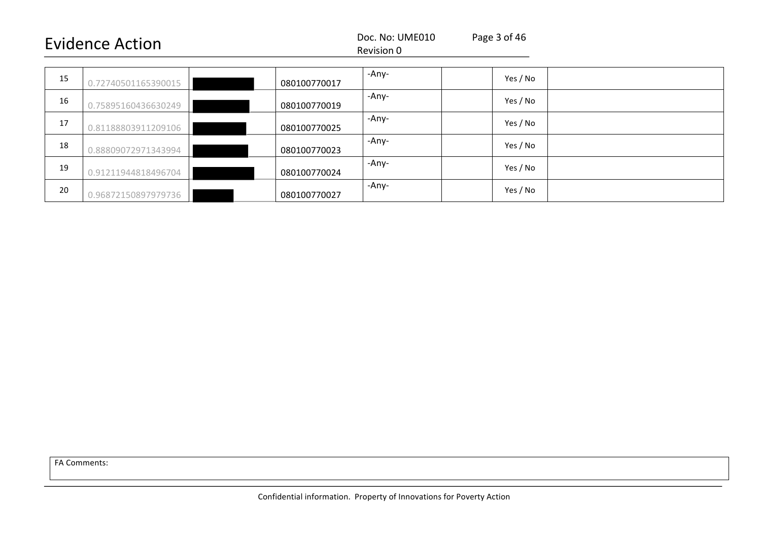#### Revision 0

| 15 | 0.72740501165390015 | 080100770017 | -Any- | Yes / No |  |
|----|---------------------|--------------|-------|----------|--|
| 16 | 0.75895160436630249 | 080100770019 | -Any- | Yes / No |  |
| 17 | 0.81188803911209106 | 080100770025 | -Any- | Yes / No |  |
| 18 | 0.88809072971343994 | 080100770023 | -Any- | Yes / No |  |
| 19 | 0.91211944818496704 | 080100770024 | -Any- | Yes / No |  |
| 20 | 0.96872150897979736 | 080100770027 | -Any- | Yes / No |  |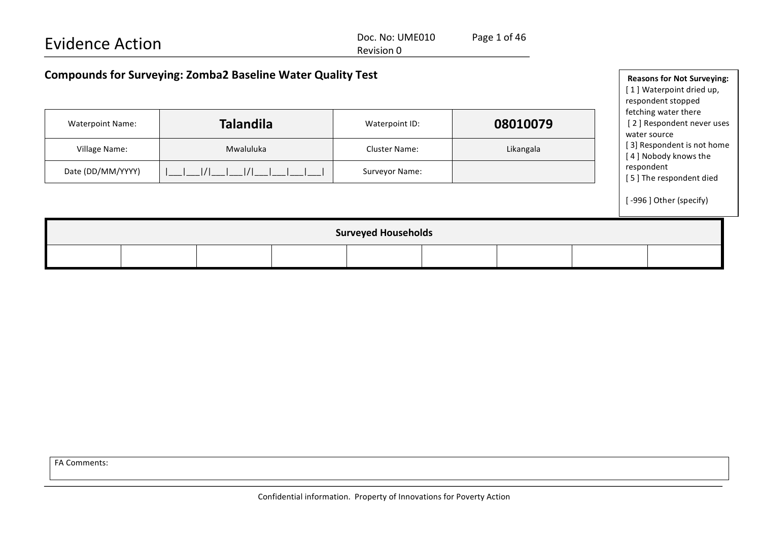| <b>Evidence Action</b>                                             | Doc. No: UME010 | Page 1 of 46             |  |
|--------------------------------------------------------------------|-----------------|--------------------------|--|
|                                                                    | Revision 0      |                          |  |
| <b>Compounds for Surveying: Zomba2 Baseline Water Quality Test</b> |                 | <b>Reasons for Not S</b> |  |

| <b>Waterpoint Name:</b> | <b>Talandila</b>  | Waterpoint ID:       | 08010079  |
|-------------------------|-------------------|----------------------|-----------|
| Village Name:           | Mwaluluka         | <b>Cluster Name:</b> | Likangala |
| Date (DD/MM/YYYY)       | $1/1$ $1/1$ $1/1$ | Surveyor Name:       |           |

**Reasons for Not Surveying:** [1] Waterpoint dried up, respondent stopped fetching water there [2] Respondent never uses water source [ 3] Respondent is not home [4] Nobody knows the respondent [5] The respondent died [-996] Other (specify)

| <b>Surveyed Households</b> |  |  |  |  |  |  |  |  |
|----------------------------|--|--|--|--|--|--|--|--|
|                            |  |  |  |  |  |  |  |  |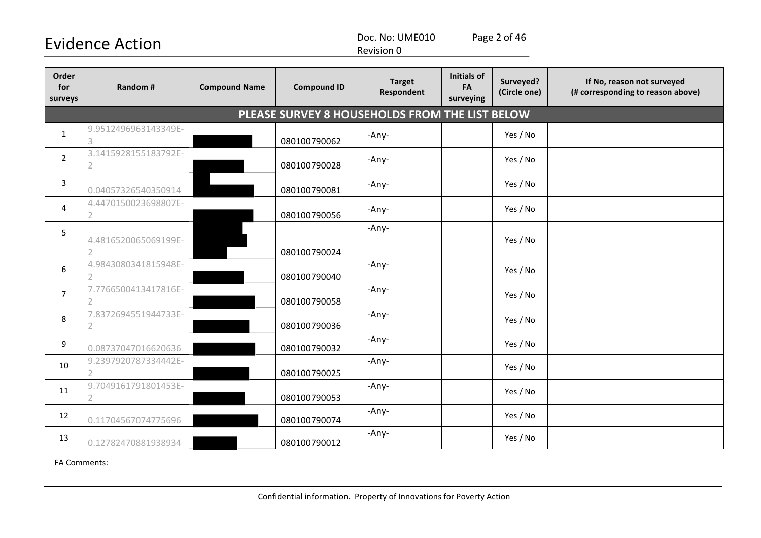Doc. No: UME010 Page 2 of 46

Revision 0

| Order<br>for<br>surveys | Random #                               | <b>Compound Name</b> | <b>Compound ID</b>                             | <b>Target</b><br>Respondent | Initials of<br>FA<br>surveying | Surveyed?<br>(Circle one) | If No, reason not surveyed<br>(# corresponding to reason above) |
|-------------------------|----------------------------------------|----------------------|------------------------------------------------|-----------------------------|--------------------------------|---------------------------|-----------------------------------------------------------------|
|                         |                                        |                      | PLEASE SURVEY 8 HOUSEHOLDS FROM THE LIST BELOW |                             |                                |                           |                                                                 |
| $\mathbf{1}$            | 9.9512496963143349E-<br>3              |                      | 080100790062                                   | -Any-                       |                                | Yes / No                  |                                                                 |
| $\overline{2}$          | 3.1415928155183792E-                   |                      | 080100790028                                   | -Any-                       |                                | Yes / No                  |                                                                 |
| 3                       | 0.04057326540350914                    |                      | 080100790081                                   | -Any-                       |                                | Yes / No                  |                                                                 |
| 4                       | 4.4470150023698807E-<br>2              |                      | 080100790056                                   | -Any-                       |                                | Yes / No                  |                                                                 |
| 5                       | 4.4816520065069199E-<br>$\overline{2}$ |                      | 080100790024                                   | -Any-                       |                                | Yes / No                  |                                                                 |
| 6                       | 4.9843080341815948E-<br>$\mathcal{P}$  |                      | 080100790040                                   | -Any-                       |                                | Yes / No                  |                                                                 |
| $\overline{7}$          | 7.7766500413417816E-                   |                      | 080100790058                                   | -Any-                       |                                | Yes / No                  |                                                                 |
| 8                       | 7.8372694551944733E-<br>2              |                      | 080100790036                                   | -Any-                       |                                | Yes / No                  |                                                                 |
| 9                       | 0.08737047016620636                    |                      | 080100790032                                   | -Any-                       |                                | Yes / No                  |                                                                 |
| 10                      | 9.2397920787334442E-                   |                      | 080100790025                                   | -Any-                       |                                | Yes / No                  |                                                                 |
| 11                      | 9.7049161791801453E-<br>$\overline{2}$ |                      | 080100790053                                   | -Any-                       |                                | Yes / No                  |                                                                 |
| 12                      | 0.11704567074775696                    |                      | 080100790074                                   | -Any-                       |                                | Yes / No                  |                                                                 |
| 13                      | 0.12782470881938934                    |                      | 080100790012                                   | -Any-                       |                                | Yes / No                  |                                                                 |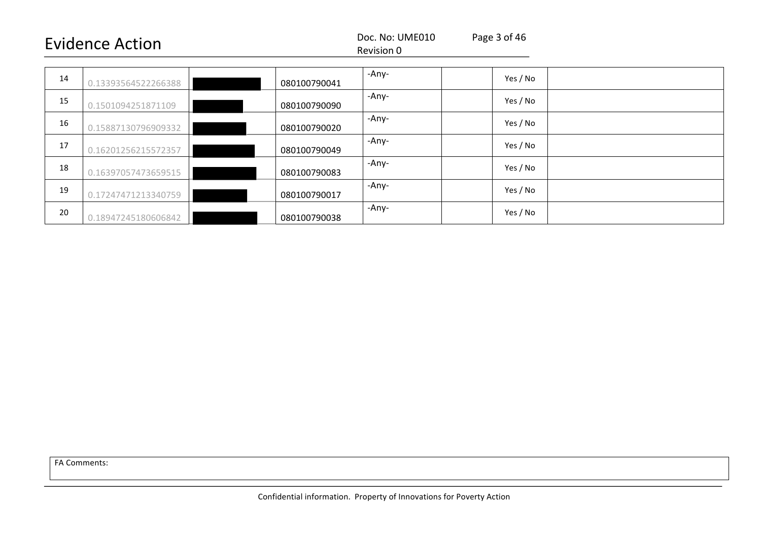#### Revision 0

| 14 | 0.13393564522266388 | 080100790041 | -Any- | Yes / No |  |
|----|---------------------|--------------|-------|----------|--|
| 15 | 0.1501094251871109  | 080100790090 | -Any- | Yes / No |  |
| 16 | 0.15887130796909332 | 080100790020 | -Any- | Yes / No |  |
| 17 | 0.16201256215572357 | 080100790049 | -Any- | Yes / No |  |
| 18 | 0.16397057473659515 | 080100790083 | -Any- | Yes / No |  |
| 19 | 0.17247471213340759 | 080100790017 | -Any- | Yes / No |  |
| 20 | 0.18947245180606842 | 080100790038 | -Any- | Yes / No |  |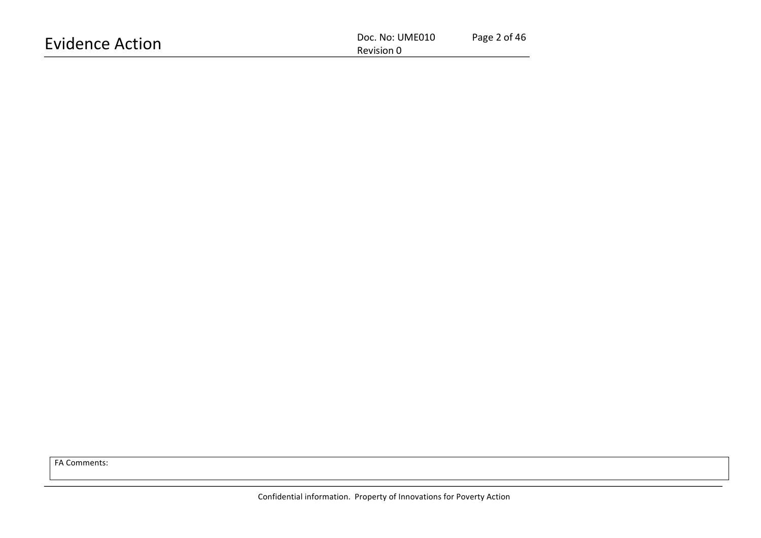| <b>Evidence Action</b> | Page 2 of 46<br>Doc. No: UME010 |  |  |  |
|------------------------|---------------------------------|--|--|--|
| Revision 0             |                                 |  |  |  |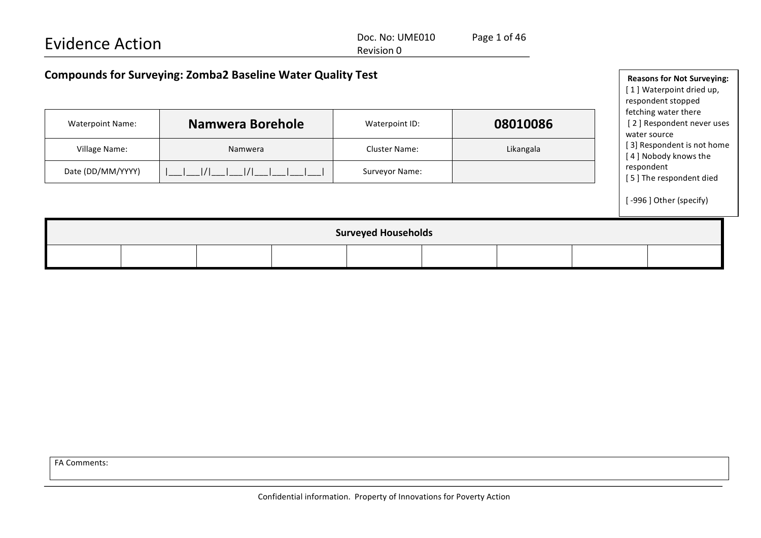| <b>Evidence Action</b>                                             |                                                                                     | Doc. No: UME010<br>Revision 0 | Page 1 of 46 |                                                                   |
|--------------------------------------------------------------------|-------------------------------------------------------------------------------------|-------------------------------|--------------|-------------------------------------------------------------------|
| <b>Compounds for Surveying: Zomba2 Baseline Water Quality Test</b> | <b>Reasons for Not Surveying:</b><br>[1] Waterpoint dried up,<br>respondent stopped |                               |              |                                                                   |
| <b>Waterpoint Name:</b>                                            | Namwera Borehole                                                                    | Waterpoint ID:                | 08010086     | fetching water there<br>[2] Respondent never uses<br>water source |
| Village Name:                                                      | Namwera                                                                             | Cluster Name:                 | Likangala    | [3] Respondent is not home<br>[4] Nobody knows the                |
| Date (DD/MM/YYYY)                                                  |                                                                                     | Surveyor Name:                |              | respondent<br>[5] The respondent died                             |
|                                                                    |                                                                                     |                               |              | [-996] Other (specify)                                            |
|                                                                    |                                                                                     | <b>Surveyed Households</b>    |              |                                                                   |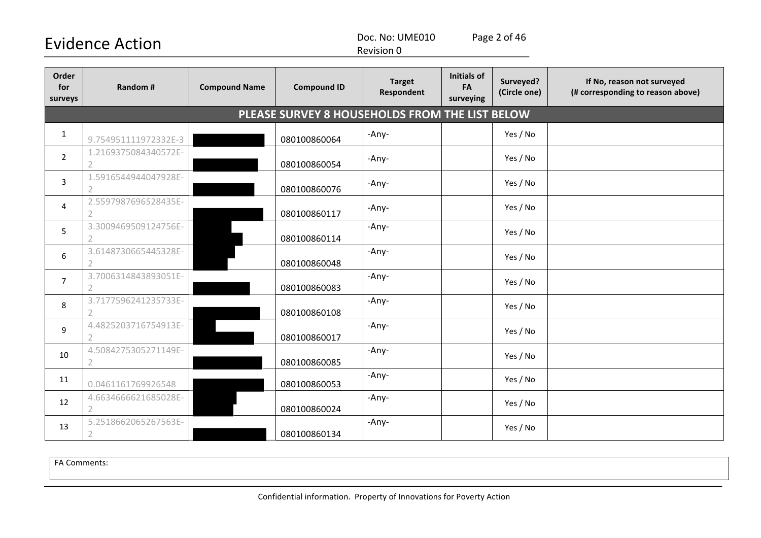Doc. No: UME010 Page 2 of 46

Revision 0

| Order<br>for<br>surveys | Random #                               | <b>Compound Name</b> | <b>Compound ID</b>                             | <b>Target</b><br>Respondent | <b>Initials of</b><br>FA<br>surveying | Surveyed?<br>(Circle one) | If No, reason not surveyed<br>(# corresponding to reason above) |
|-------------------------|----------------------------------------|----------------------|------------------------------------------------|-----------------------------|---------------------------------------|---------------------------|-----------------------------------------------------------------|
|                         |                                        |                      | PLEASE SURVEY 8 HOUSEHOLDS FROM THE LIST BELOW |                             |                                       |                           |                                                                 |
| $\mathbf{1}$            | 9.754951111972332E-3                   |                      | 080100860064                                   | -Any-                       |                                       | Yes / No                  |                                                                 |
| $\overline{2}$          | 1.2169375084340572E-                   |                      | 080100860054                                   | -Any-                       |                                       | Yes / No                  |                                                                 |
| $\overline{3}$          | 1.5916544944047928E-<br>$\overline{2}$ |                      | 080100860076                                   | -Any-                       |                                       | Yes / No                  |                                                                 |
| 4                       | 2.5597987696528435E-                   |                      | 080100860117                                   | -Any-                       |                                       | Yes / No                  |                                                                 |
| 5                       | 3.3009469509124756E-                   |                      | 080100860114                                   | -Any-                       |                                       | Yes / No                  |                                                                 |
| 6                       | 3.6148730665445328E-                   |                      | 080100860048                                   | -Any-                       |                                       | Yes / No                  |                                                                 |
| $\overline{7}$          | 3.7006314843893051E-                   |                      | 080100860083                                   | -Any-                       |                                       | Yes / No                  |                                                                 |
| 8                       | 3.7177596241235733E-                   |                      | 080100860108                                   | -Any-                       |                                       | Yes / No                  |                                                                 |
| 9                       | 4.4825203716754913E-<br>$\overline{2}$ |                      | 080100860017                                   | -Any-                       |                                       | Yes / No                  |                                                                 |
| 10                      | 4.5084275305271149E-                   |                      | 080100860085                                   | -Any-                       |                                       | Yes / No                  |                                                                 |
| 11                      | 0.0461161769926548                     |                      | 080100860053                                   | -Any-                       |                                       | Yes / No                  |                                                                 |
| 12                      | 4.6634666621685028E-<br>$\mathcal{L}$  |                      | 080100860024                                   | -Any-                       |                                       | Yes / No                  |                                                                 |
| 13                      | 5.2518662065267563E-                   |                      | 080100860134                                   | -Any-                       |                                       | Yes / No                  |                                                                 |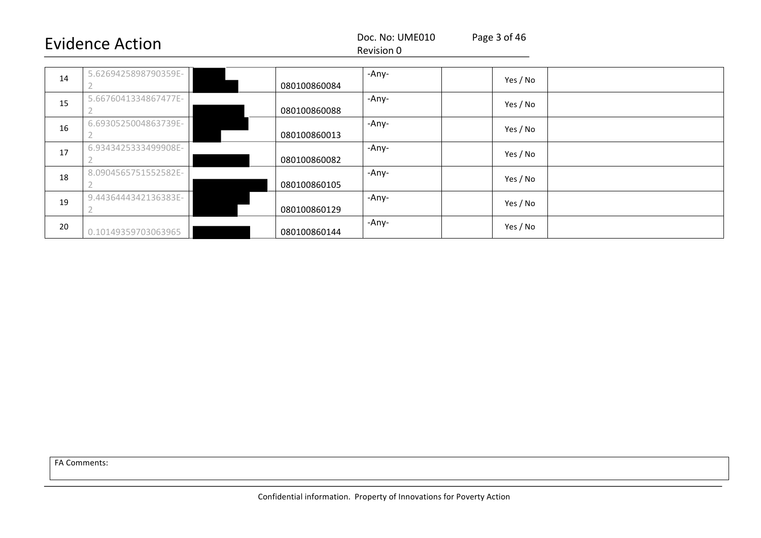#### Revision 0

| 14 | 5.6269425898790359E- | 080100860084 | -Any- | Yes / No |  |
|----|----------------------|--------------|-------|----------|--|
| 15 | 5.6676041334867477E- | 080100860088 | -Any- | Yes / No |  |
| 16 | 6.6930525004863739E- | 080100860013 | -Any- | Yes / No |  |
| 17 | 6.9343425333499908E- | 080100860082 | -Any- | Yes / No |  |
| 18 | 8.0904565751552582E- | 080100860105 | -Any- | Yes / No |  |
| 19 | 9.4436444342136383E- | 080100860129 | -Any- | Yes / No |  |
| 20 | 0.10149359703063965  | 080100860144 | -Any- | Yes / No |  |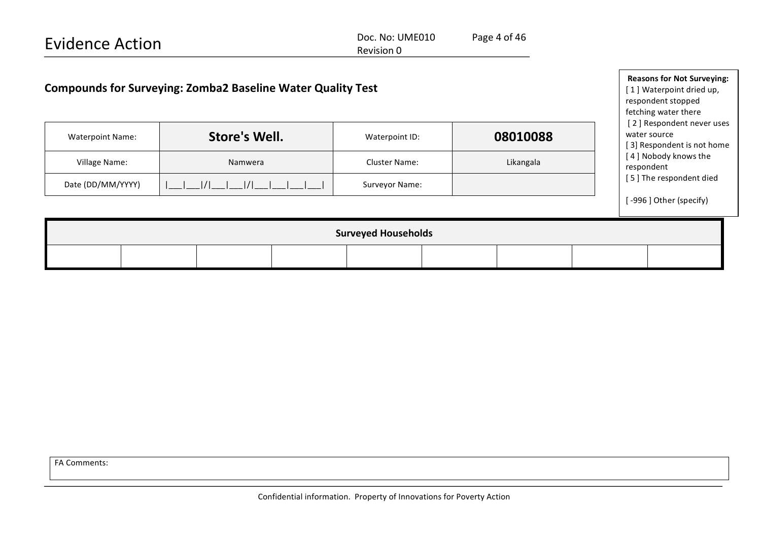| <b>Evidence Action</b>                                             |  |                      |  | Page 4 of 46<br>Doc. No: UME010<br>Revision 0 |  |           |                                                                                                             |
|--------------------------------------------------------------------|--|----------------------|--|-----------------------------------------------|--|-----------|-------------------------------------------------------------------------------------------------------------|
| <b>Compounds for Surveying: Zomba2 Baseline Water Quality Test</b> |  |                      |  |                                               |  |           | <b>Reasons for Not Surveying:</b><br>[1] Waterpoint dried up,<br>respondent stopped<br>fetching water there |
| <b>Waterpoint Name:</b>                                            |  | <b>Store's Well.</b> |  | Waterpoint ID:                                |  | 08010088  | [2] Respondent never uses<br>water source<br>3] Respondent is not home                                      |
| Village Name:                                                      |  | Namwera              |  | <b>Cluster Name:</b>                          |  | Likangala | 4] Nobody knows the<br>respondent                                                                           |
| Date (DD/MM/YYYY)                                                  |  | 1/1<br>1/1           |  | Surveyor Name:                                |  |           | [5] The respondent died                                                                                     |
|                                                                    |  |                      |  |                                               |  |           | [-996] Other (specify)                                                                                      |
|                                                                    |  |                      |  | <b>Surveyed Households</b>                    |  |           |                                                                                                             |
|                                                                    |  |                      |  |                                               |  |           |                                                                                                             |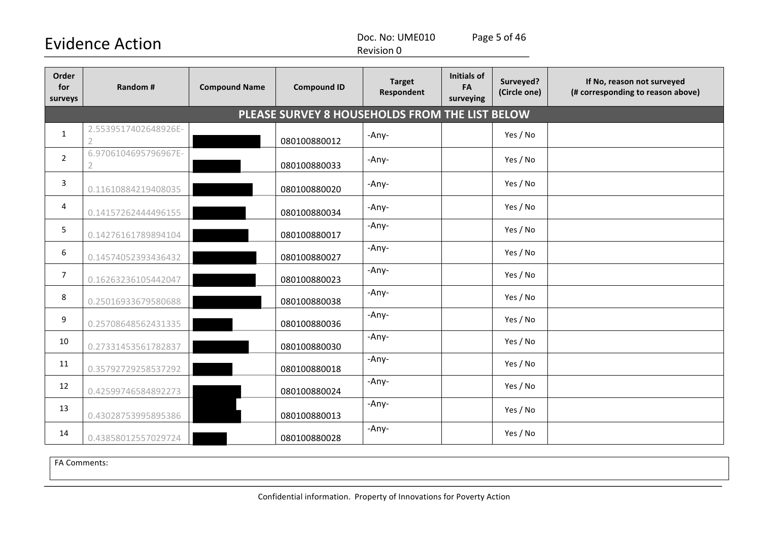Doc. No: UME010 Page 5 of 46

Revision 0

| Order<br>for<br>surveys | Random #                                       | <b>Compound Name</b> | <b>Compound ID</b> | <b>Target</b><br>Respondent | <b>Initials of</b><br>FA<br>surveying | Surveyed?<br>(Circle one) | If No, reason not surveyed<br>(# corresponding to reason above) |  |  |  |  |
|-------------------------|------------------------------------------------|----------------------|--------------------|-----------------------------|---------------------------------------|---------------------------|-----------------------------------------------------------------|--|--|--|--|
|                         | PLEASE SURVEY 8 HOUSEHOLDS FROM THE LIST BELOW |                      |                    |                             |                                       |                           |                                                                 |  |  |  |  |
| $\mathbf{1}$            | 2.5539517402648926E-<br>$\overline{2}$         |                      | 080100880012       | -Any-                       |                                       | Yes / No                  |                                                                 |  |  |  |  |
| $\overline{2}$          | 6.9706104695796967E-<br>$\overline{2}$         |                      | 080100880033       | -Any-                       |                                       | Yes / No                  |                                                                 |  |  |  |  |
| 3                       | 0.11610884219408035                            |                      | 080100880020       | -Any-                       |                                       | Yes / No                  |                                                                 |  |  |  |  |
| 4                       | 0.14157262444496155                            |                      | 080100880034       | -Any-                       |                                       | Yes / No                  |                                                                 |  |  |  |  |
| 5                       | 0.14276161789894104                            |                      | 080100880017       | -Any-                       |                                       | Yes / No                  |                                                                 |  |  |  |  |
| 6                       | 0.14574052393436432                            |                      | 080100880027       | -Any-                       |                                       | Yes / No                  |                                                                 |  |  |  |  |
| 7                       | 0.16263236105442047                            |                      | 080100880023       | -Any-                       |                                       | Yes / No                  |                                                                 |  |  |  |  |
| 8                       | 0.25016933679580688                            |                      | 080100880038       | -Any-                       |                                       | Yes / No                  |                                                                 |  |  |  |  |
| 9                       | 0.25708648562431335                            |                      | 080100880036       | -Any-                       |                                       | Yes / No                  |                                                                 |  |  |  |  |
| 10                      | 0.27331453561782837                            |                      | 080100880030       | -Any-                       |                                       | Yes / No                  |                                                                 |  |  |  |  |
| 11                      | 0.35792729258537292                            |                      | 080100880018       | -Any-                       |                                       | Yes / No                  |                                                                 |  |  |  |  |
| 12                      | 0.42599746584892273                            |                      | 080100880024       | -Any-                       |                                       | Yes / No                  |                                                                 |  |  |  |  |
| 13                      | 0.43028753995895386                            |                      | 080100880013       | -Any-                       |                                       | Yes / No                  |                                                                 |  |  |  |  |
| 14                      | 0.43858012557029724                            |                      | 080100880028       | -Any-                       |                                       | Yes / No                  |                                                                 |  |  |  |  |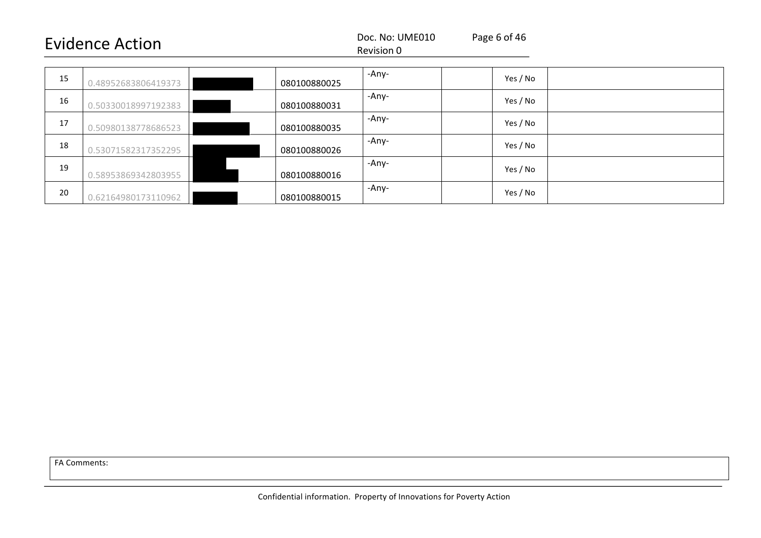| .<br>`†ı∩n                 |            |  |
|----------------------------|------------|--|
| <b>VII</b><br>$\mathbf{H}$ | Revision u |  |

| 15 | 0.48952683806419373 | -Any-<br>080100880025 | Yes / No |  |
|----|---------------------|-----------------------|----------|--|
| 16 | 0.50330018997192383 | -Any-<br>080100880031 | Yes / No |  |
| 17 | 0.50980138778686523 | -Any-<br>080100880035 | Yes / No |  |
| 18 | 0.53071582317352295 | -Any-<br>080100880026 | Yes / No |  |
| 19 | 0.58953869342803955 | -Any-<br>080100880016 | Yes / No |  |
| 20 | 0.62164980173110962 | -Any-<br>080100880015 | Yes / No |  |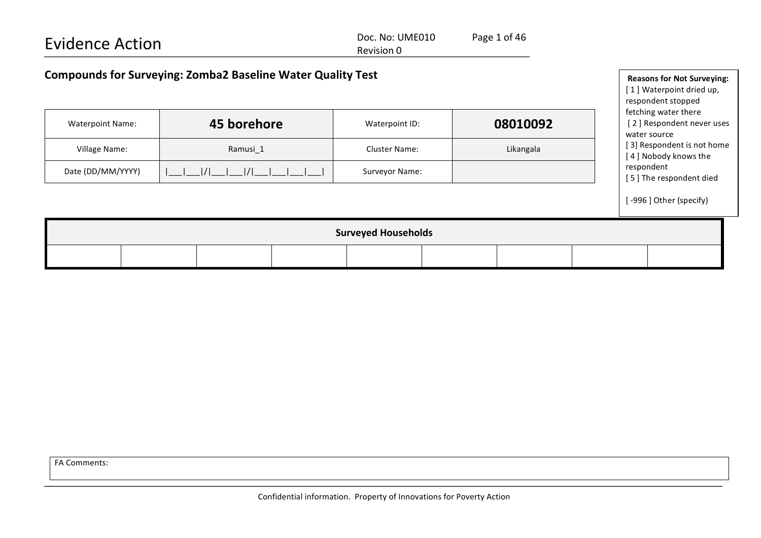| <b>Evidence Action</b>                                             |                                                                                     | Doc. No: UME010<br>Revision 0 | Page 1 of 46 |                                                                   |
|--------------------------------------------------------------------|-------------------------------------------------------------------------------------|-------------------------------|--------------|-------------------------------------------------------------------|
| <b>Compounds for Surveying: Zomba2 Baseline Water Quality Test</b> | <b>Reasons for Not Surveying:</b><br>[1] Waterpoint dried up,<br>respondent stopped |                               |              |                                                                   |
| <b>Waterpoint Name:</b>                                            | 45 borehore                                                                         | 08010092<br>Waterpoint ID:    |              | fetching water there<br>[2] Respondent never uses<br>water source |
| Village Name:                                                      | Ramusi 1                                                                            | <b>Cluster Name:</b>          | Likangala    | [3] Respondent is not home<br>[4] Nobody knows the                |
| Date (DD/MM/YYYY)                                                  |                                                                                     | Surveyor Name:                |              | respondent<br>I. E. I. The recognation to died                    |

[-996] Other (specify)

[5] The respondent died

| <b>Surveyed Households</b> |  |  |  |  |  |  |  |  |
|----------------------------|--|--|--|--|--|--|--|--|
|                            |  |  |  |  |  |  |  |  |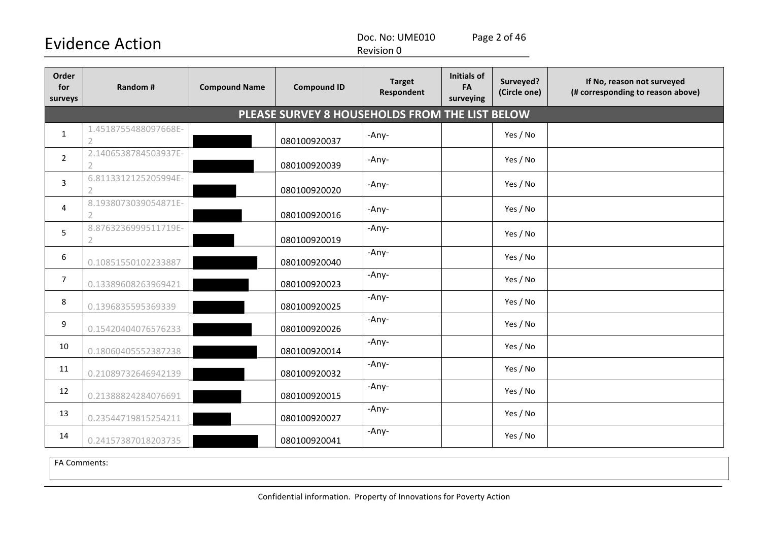Doc. No: UME010 Page 2 of 46

Revision 0

| Order<br>for<br>surveys | Random #                                       | <b>Compound Name</b> | <b>Compound ID</b> | <b>Target</b><br>Respondent | <b>Initials of</b><br>FA<br>surveying | Surveyed?<br>(Circle one) | If No, reason not surveyed<br>(# corresponding to reason above) |  |  |  |  |
|-------------------------|------------------------------------------------|----------------------|--------------------|-----------------------------|---------------------------------------|---------------------------|-----------------------------------------------------------------|--|--|--|--|
|                         | PLEASE SURVEY 8 HOUSEHOLDS FROM THE LIST BELOW |                      |                    |                             |                                       |                           |                                                                 |  |  |  |  |
| $\mathbf{1}$            | 1.4518755488097668E-<br>$\overline{2}$         |                      | 080100920037       | -Any-                       |                                       | Yes / No                  |                                                                 |  |  |  |  |
| $\overline{2}$          | 2.1406538784503937E-                           |                      | 080100920039       | -Any-                       |                                       | Yes / No                  |                                                                 |  |  |  |  |
| 3                       | 6.8113312125205994E-<br>2                      |                      | 080100920020       | -Any-                       |                                       | Yes / No                  |                                                                 |  |  |  |  |
| 4                       | 8.1938073039054871E-                           |                      | 080100920016       | -Any-                       |                                       | Yes / No                  |                                                                 |  |  |  |  |
| 5                       | 8.8763236999511719E-<br>2                      |                      | 080100920019       | -Any-                       |                                       | Yes / No                  |                                                                 |  |  |  |  |
| 6                       | 0.10851550102233887                            |                      | 080100920040       | -Any-                       |                                       | Yes / No                  |                                                                 |  |  |  |  |
| $\overline{7}$          | 0.13389608263969421                            |                      | 080100920023       | -Any-                       |                                       | Yes / No                  |                                                                 |  |  |  |  |
| 8                       | 0.1396835595369339                             |                      | 080100920025       | -Any-                       |                                       | Yes / No                  |                                                                 |  |  |  |  |
| 9                       | 0.15420404076576233                            |                      | 080100920026       | -Any-                       |                                       | Yes / No                  |                                                                 |  |  |  |  |
| 10                      | 0.18060405552387238                            |                      | 080100920014       | -Any-                       |                                       | Yes / No                  |                                                                 |  |  |  |  |
| 11                      | 0.21089732646942139                            |                      | 080100920032       | -Any-                       |                                       | Yes / No                  |                                                                 |  |  |  |  |
| 12                      | 0.21388824284076691                            |                      | 080100920015       | -Any-                       |                                       | Yes / No                  |                                                                 |  |  |  |  |
| 13                      | 0.23544719815254211                            |                      | 080100920027       | -Any-                       |                                       | Yes / No                  |                                                                 |  |  |  |  |
| 14                      | 0.24157387018203735                            |                      | 080100920041       | -Any-                       |                                       | Yes / No                  |                                                                 |  |  |  |  |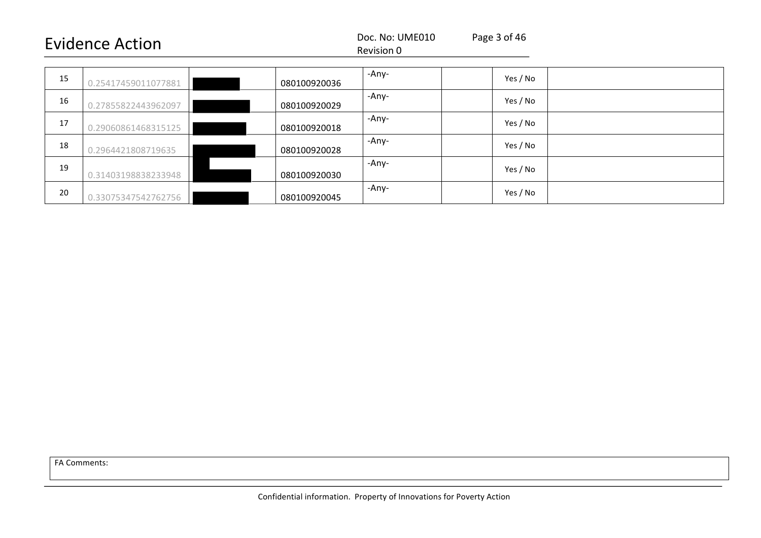#### Revision 0

| 15 | 0.25417459011077881 | 080100920036 | -Any- | Yes / No |
|----|---------------------|--------------|-------|----------|
| 16 | 0.27855822443962097 | 080100920029 | -Any- | Yes / No |
| 17 | 0.29060861468315125 | 080100920018 | -Any- | Yes / No |
| 18 | 0.2964421808719635  | 080100920028 | -Any- | Yes / No |
| 19 | 0.31403198838233948 | 080100920030 | -Any- | Yes / No |
| 20 | 0.33075347542762756 | 080100920045 | -Any- | Yes / No |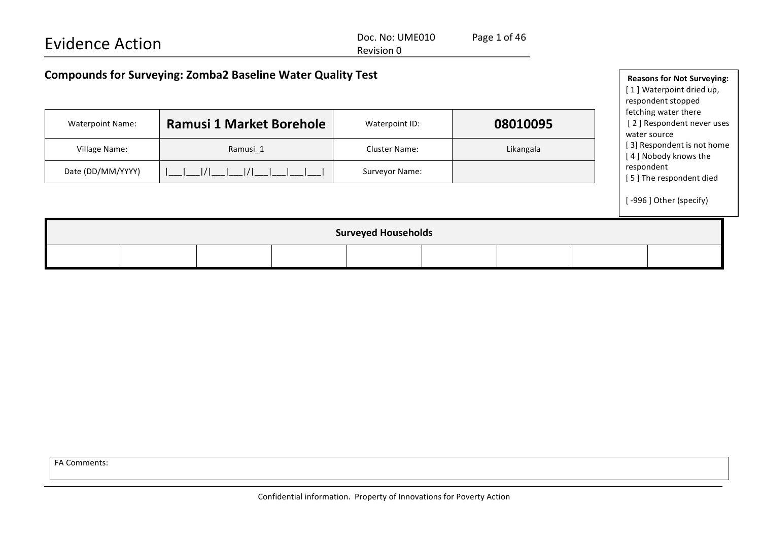| <b>Evidence Action</b>                                             | Page 1 of 46<br>Doc. No: UME010   |  |                          |  |  |  |  |  |
|--------------------------------------------------------------------|-----------------------------------|--|--------------------------|--|--|--|--|--|
|                                                                    | Revision 0                        |  |                          |  |  |  |  |  |
|                                                                    |                                   |  |                          |  |  |  |  |  |
| <b>Compounds for Surveying: Zomba2 Baseline Water Quality Test</b> | <b>Reasons for Not Surveying:</b> |  |                          |  |  |  |  |  |
|                                                                    |                                   |  | [1] Waterpoint dried up, |  |  |  |  |  |
|                                                                    |                                   |  | respondent stopped       |  |  |  |  |  |

fetching water there

[2] Respondent never uses

| Village Name:<br>Date (DD/MM/YYYY) |  | Ramusi_1<br>$1/1$ $1/1$ |  | <b>Cluster Name:</b><br>Surveyor Name: |  | Likangala |  |  | water source<br>[3] Respondent is not home<br>[4] Nobody knows the<br>respondent<br>[5] The respondent died |
|------------------------------------|--|-------------------------|--|----------------------------------------|--|-----------|--|--|-------------------------------------------------------------------------------------------------------------|
|                                    |  |                         |  |                                        |  |           |  |  | [-996] Other (specify)                                                                                      |
| <b>Surveyed Households</b>         |  |                         |  |                                        |  |           |  |  |                                                                                                             |

Waterpoint Name: **Ramusi 1 Market Borehole** Waterpoint ID: **08010095**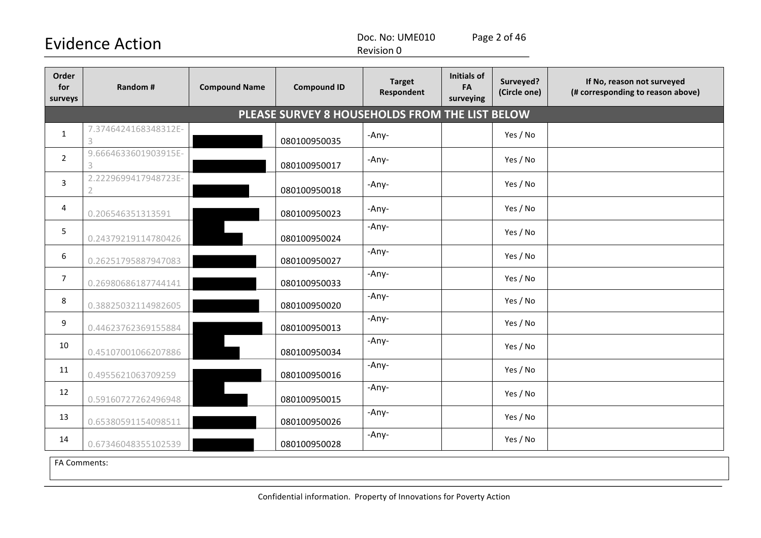Doc. No: UME010 Page 2 of 46

Revision 0

| Order<br>for<br>surveys | Random #                  | <b>Compound Name</b> | <b>Compound ID</b>                             | <b>Target</b><br>Respondent | <b>Initials of</b><br>FA<br>surveying | Surveyed?<br>(Circle one) | If No, reason not surveyed<br>(# corresponding to reason above) |
|-------------------------|---------------------------|----------------------|------------------------------------------------|-----------------------------|---------------------------------------|---------------------------|-----------------------------------------------------------------|
|                         |                           |                      | PLEASE SURVEY 8 HOUSEHOLDS FROM THE LIST BELOW |                             |                                       |                           |                                                                 |
| $\mathbf{1}$            | 7.3746424168348312E-<br>3 |                      | 080100950035                                   | -Any-                       |                                       | Yes / No                  |                                                                 |
| $\overline{2}$          | 9.6664633601903915E-<br>3 |                      | 080100950017                                   | -Any-                       |                                       | Yes / No                  |                                                                 |
| 3                       | 2.2229699417948723E-      |                      | 080100950018                                   | -Any-                       |                                       | Yes / No                  |                                                                 |
| 4                       | 0.206546351313591         |                      | 080100950023                                   | -Any-                       |                                       | Yes / No                  |                                                                 |
| 5                       | 0.24379219114780426       |                      | 080100950024                                   | -Any-                       |                                       | Yes / No                  |                                                                 |
| $\boldsymbol{6}$        | 0.26251795887947083       |                      | 080100950027                                   | -Any-                       |                                       | Yes / No                  |                                                                 |
| $\overline{7}$          | 0.26980686187744141       |                      | 080100950033                                   | -Any-                       |                                       | Yes / No                  |                                                                 |
| 8                       | 0.38825032114982605       |                      | 080100950020                                   | -Any-                       |                                       | Yes / No                  |                                                                 |
| 9                       | 0.44623762369155884       |                      | 080100950013                                   | -Any-                       |                                       | Yes / No                  |                                                                 |
| 10                      | 0.45107001066207886       |                      | 080100950034                                   | -Any-                       |                                       | Yes / No                  |                                                                 |
| 11                      | 0.4955621063709259        |                      | 080100950016                                   | -Any-                       |                                       | Yes / No                  |                                                                 |
| 12                      | 0.59160727262496948       |                      | 080100950015                                   | -Any-                       |                                       | Yes / No                  |                                                                 |
| 13                      | 0.65380591154098511       |                      | 080100950026                                   | -Any-                       |                                       | Yes / No                  |                                                                 |
| 14                      | 0.67346048355102539       |                      | 080100950028                                   | -Any-                       |                                       | Yes / No                  |                                                                 |
| $\overline{a}$          |                           |                      |                                                |                             |                                       |                           |                                                                 |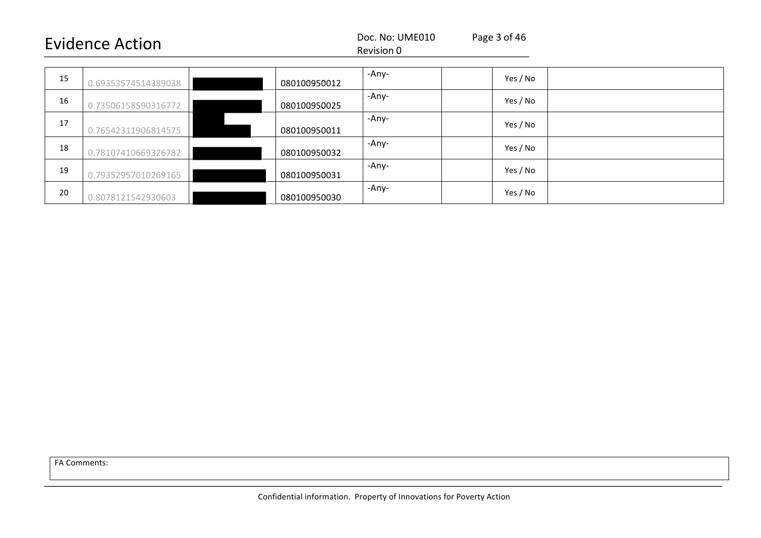#### Revision 0

| 15 | 0.69353574514389038 | 080100950012 | -Any- | Yes / No |
|----|---------------------|--------------|-------|----------|
| 16 | 0.73506158590316772 | 080100950025 | -Any- | Yes / No |
| 17 | 0.76542311906814575 | 080100950011 | -Any- | Yes / No |
| 18 | 0.78107410669326782 | 080100950032 | -Any- | Yes / No |
| 19 | 0.79352957010269165 | 080100950031 | -Any- | Yes / No |
| 20 | 0.8078121542930603  | 080100950030 | -Any- | Yes / No |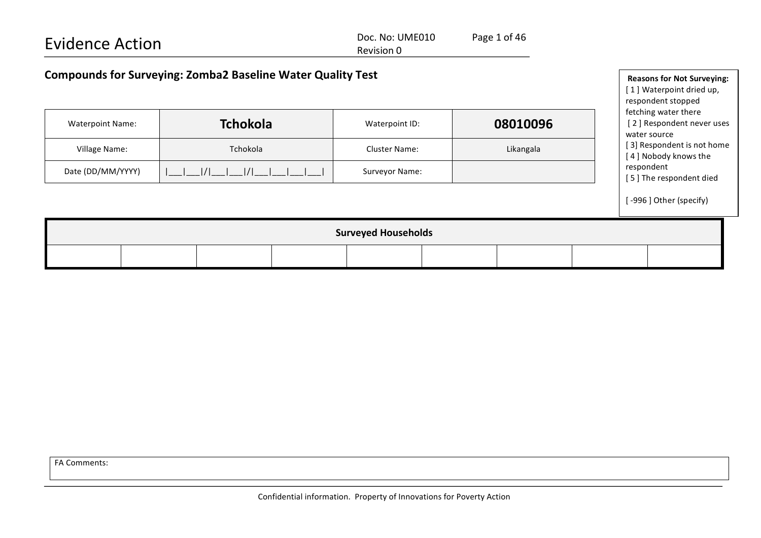| <b>Evidence Action</b>                                             | Doc. No: UME010<br>Revision 0 | Page 1 of 46 |                                                               |
|--------------------------------------------------------------------|-------------------------------|--------------|---------------------------------------------------------------|
| <b>Compounds for Surveying: Zomba2 Baseline Water Quality Test</b> |                               |              | <b>Reasons for Not Surveying:</b><br>[1] Waterpoint dried up, |

respondent stopped fetching water there

water source

respondent

[2] Respondent never uses

[ 3] Respondent is not home [4] Nobody knows the

[5] The respondent died

[-996] Other (specify)

|                   | <b>Tchokola</b>                              | Waterpoint ID:       | 08010096  |
|-------------------|----------------------------------------------|----------------------|-----------|
| Village Name:     | Tchokola                                     | <b>Cluster Name:</b> | Likangala |
| Date (DD/MM/YYYY) | $1/1$ $1$<br>$\begin{bmatrix} \end{bmatrix}$ | Surveyor Name:       |           |

| <b>Surveyed Households</b> |  |  |  |  |  |  |  |  |
|----------------------------|--|--|--|--|--|--|--|--|
|                            |  |  |  |  |  |  |  |  |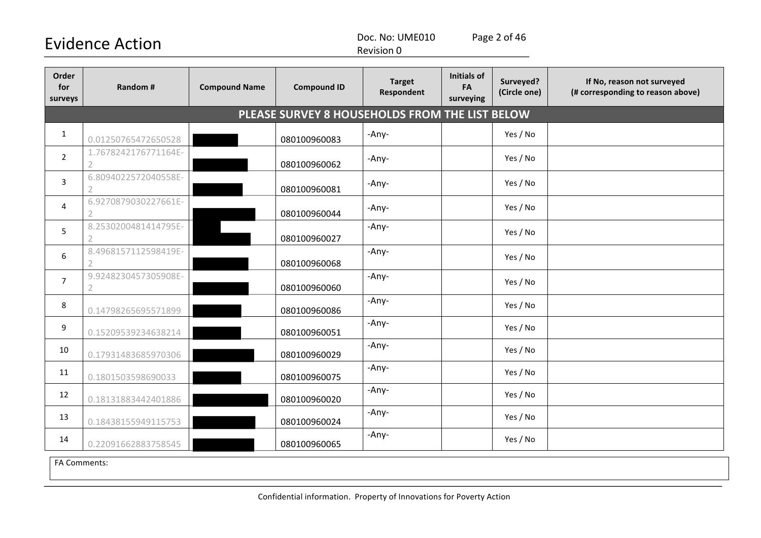Doc. No: UME010 Page 2 of 46

Revision 0

| Order<br>for<br>surveys | Random #                               | <b>Compound Name</b> | <b>Compound ID</b>                             | <b>Target</b><br>Respondent | <b>Initials of</b><br>FA<br>surveying | Surveyed?<br>(Circle one) | If No, reason not surveyed<br>(# corresponding to reason above) |
|-------------------------|----------------------------------------|----------------------|------------------------------------------------|-----------------------------|---------------------------------------|---------------------------|-----------------------------------------------------------------|
|                         |                                        |                      | PLEASE SURVEY 8 HOUSEHOLDS FROM THE LIST BELOW |                             |                                       |                           |                                                                 |
| $\mathbf{1}$            | 0.01250765472650528                    |                      | 080100960083                                   | -Any-                       |                                       | Yes / No                  |                                                                 |
| $\overline{2}$          | 1.7678242176771164E-<br>$\overline{2}$ |                      | 080100960062                                   | -Any-                       |                                       | Yes / No                  |                                                                 |
| 3                       | 6.8094022572040558E-                   |                      | 080100960081                                   | -Any-                       |                                       | Yes / No                  |                                                                 |
| 4                       | 6.9270879030227661E-                   |                      | 080100960044                                   | -Any-                       |                                       | Yes / No                  |                                                                 |
| 5                       | 8.2530200481414795E-<br>$\overline{2}$ |                      | 080100960027                                   | -Any-                       |                                       | Yes / No                  |                                                                 |
| 6                       | 8.4968157112598419E-                   |                      | 080100960068                                   | -Any-                       |                                       | Yes / No                  |                                                                 |
| $\overline{7}$          | 9.9248230457305908E-<br>2              |                      | 080100960060                                   | -Any-                       |                                       | Yes / No                  |                                                                 |
| 8                       | 0.14798265695571899                    |                      | 080100960086                                   | -Any-                       |                                       | Yes / No                  |                                                                 |
| 9                       | 0.15209539234638214                    |                      | 080100960051                                   | -Any-                       |                                       | Yes / No                  |                                                                 |
| 10                      | 0.17931483685970306                    |                      | 080100960029                                   | -Any-                       |                                       | Yes / No                  |                                                                 |
| 11                      | 0.1801503598690033                     |                      | 080100960075                                   | -Any-                       |                                       | Yes / No                  |                                                                 |
| 12                      | 0.18131883442401886                    |                      | 080100960020                                   | -Any-                       |                                       | Yes / No                  |                                                                 |
| 13                      | 0.18438155949115753                    |                      | 080100960024                                   | -Any-                       |                                       | Yes / No                  |                                                                 |
| 14                      | 0.22091662883758545                    |                      | 080100960065                                   | -Any-                       |                                       | Yes / No                  |                                                                 |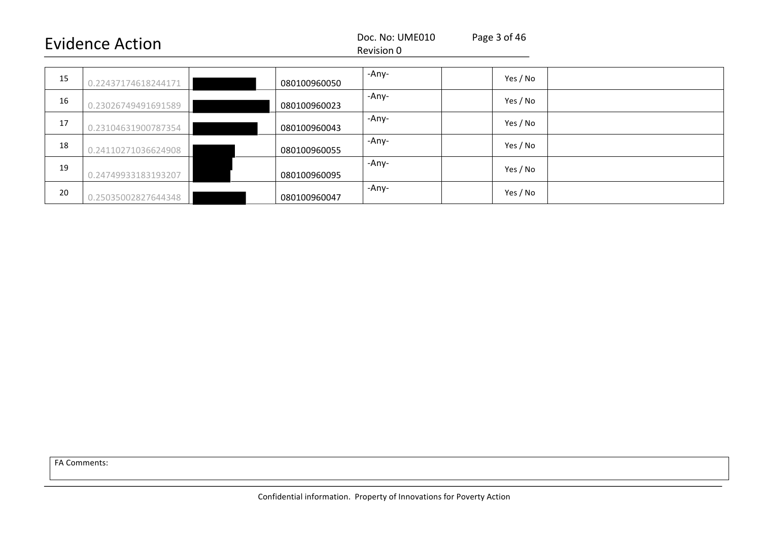#### Revision 0

| 15 | 0.22437174618244171 | 080100960050 | -Any- | Yes / No |
|----|---------------------|--------------|-------|----------|
| 16 | 0.23026749491691589 | 080100960023 | -Any- | Yes / No |
| 17 | 0.23104631900787354 | 080100960043 | -Any- | Yes / No |
| 18 | 0.24110271036624908 | 080100960055 | -Any- | Yes / No |
| 19 | 0.24749933183193207 | 080100960095 | -Any- | Yes / No |
| 20 | 0.25035002827644348 | 080100960047 | -Any- | Yes / No |